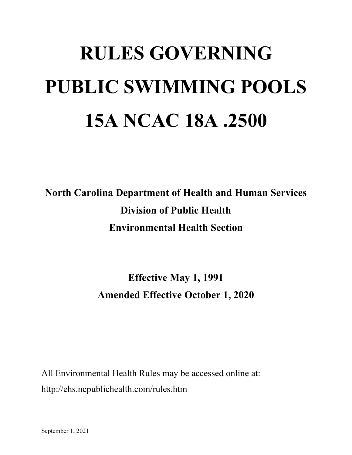# **RULES GOVERNING PUBLIC SWIMMING POOLS 15A NCAC 18A .2500**

**North Carolina Department of Health and Human Services Division of Public Health Environmental Health Section**

> **Effective May 1, 1991 Amended Effective October 1, 2020**

All Environmental Health Rules may be accessed online at: http://ehs.ncpublichealth.com/rules.htm

September 1, 2021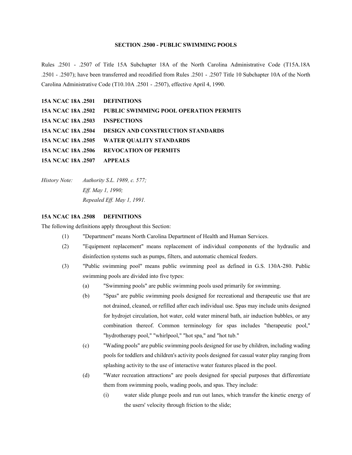# **SECTION .2500 - PUBLIC SWIMMING POOLS**

Rules .2501 - .2507 of Title 15A Subchapter 18A of the North Carolina Administrative Code (T15A.18A .2501 - .2507); have been transferred and recodified from Rules .2501 - .2507 Title 10 Subchapter 10A of the North Carolina Administrative Code (T10.10A .2501 - .2507), effective April 4, 1990.

| 15A NCAC 18A .2501 DEFINITIONS |                                                                  |
|--------------------------------|------------------------------------------------------------------|
|                                | <b>15A NCAC 18A .2502 PUBLIC SWIMMING POOL OPERATION PERMITS</b> |
| 15A NCAC 18A .2503 INSPECTIONS |                                                                  |
|                                | <b>15A NCAC 18A .2504 DESIGN AND CONSTRUCTION STANDARDS</b>      |
|                                | 15A NCAC 18A .2505 WATER QUALITY STANDARDS                       |
|                                | <b>15A NCAC 18A .2506 REVOCATION OF PERMITS</b>                  |
| 15A NCAC 18A .2507 APPEALS     |                                                                  |

*History Note: Authority S.L. 1989, c. 577; Eff. May 1, 1990; Repealed Eff. May 1, 1991.*

## **15A NCAC 18A .2508 DEFINITIONS**

The following definitions apply throughout this Section:

- (1) "Department" means North Carolina Department of Health and Human Services.
- (2) "Equipment replacement" means replacement of individual components of the hydraulic and disinfection systems such as pumps, filters, and automatic chemical feeders.
- (3) "Public swimming pool" means public swimming pool as defined in G.S. 130A-280. Public swimming pools are divided into five types:
	- (a) "Swimming pools" are public swimming pools used primarily for swimming.
	- (b) "Spas" are public swimming pools designed for recreational and therapeutic use that are not drained, cleaned, or refilled after each individual use. Spas may include units designed for hydrojet circulation, hot water, cold water mineral bath, air induction bubbles, or any combination thereof. Common terminology for spas includes "therapeutic pool," "hydrotherapy pool," "whirlpool," "hot spa," and "hot tub."
	- (c) "Wading pools" are public swimming pools designed for use by children, including wading pools for toddlers and children's activity pools designed for casual water play ranging from splashing activity to the use of interactive water features placed in the pool.
	- (d) "Water recreation attractions" are pools designed for special purposes that differentiate them from swimming pools, wading pools, and spas. They include:
		- (i) water slide plunge pools and run out lanes, which transfer the kinetic energy of the users' velocity through friction to the slide;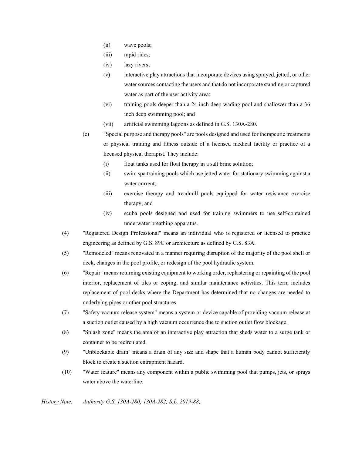- (ii) wave pools;
- (iii) rapid rides;
- (iv) lazy rivers;
- (v) interactive play attractions that incorporate devices using sprayed, jetted, or other water sources contacting the users and that do not incorporate standing or captured water as part of the user activity area;
- (vi) training pools deeper than a 24 inch deep wading pool and shallower than a 36 inch deep swimming pool; and
- (vii) artificial swimming lagoons as defined in G.S. 130A-280.
- (e) "Special purpose and therapy pools" are pools designed and used for therapeutic treatments or physical training and fitness outside of a licensed medical facility or practice of a licensed physical therapist. They include:
	- (i) float tanks used for float therapy in a salt brine solution;
	- (ii) swim spa training pools which use jetted water for stationary swimming against a water current;
	- (iii) exercise therapy and treadmill pools equipped for water resistance exercise therapy; and
	- (iv) scuba pools designed and used for training swimmers to use self-contained underwater breathing apparatus.
- (4) "Registered Design Professional" means an individual who is registered or licensed to practice engineering as defined by G.S. 89C or architecture as defined by G.S. 83A.
- (5) "Remodeled" means renovated in a manner requiring disruption of the majority of the pool shell or deck, changes in the pool profile, or redesign of the pool hydraulic system.
- (6) "Repair" means returning existing equipment to working order, replastering or repainting of the pool interior, replacement of tiles or coping, and similar maintenance activities. This term includes replacement of pool decks where the Department has determined that no changes are needed to underlying pipes or other pool structures.
- (7) "Safety vacuum release system" means a system or device capable of providing vacuum release at a suction outlet caused by a high vacuum occurrence due to suction outlet flow blockage.
- (8) "Splash zone" means the area of an interactive play attraction that sheds water to a surge tank or container to be recirculated.
- (9) "Unblockable drain" means a drain of any size and shape that a human body cannot sufficiently block to create a suction entrapment hazard.
- (10) "Water feature" means any component within a public swimming pool that pumps, jets, or sprays water above the waterline.

*History Note: Authority G.S. 130A-280; 130A-282; S.L. 2019-88;*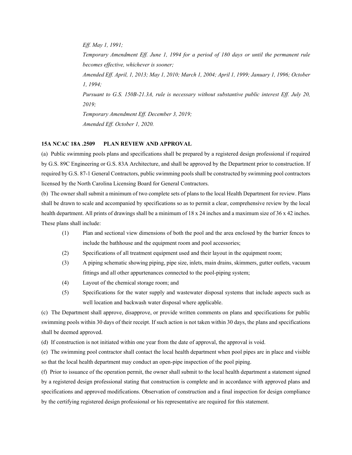*Eff. May 1, 1991; Temporary Amendment Eff. June 1, 1994 for a period of 180 days or until the permanent rule becomes effective, whichever is sooner; Amended Eff. April, 1, 2013; May 1, 2010; March 1, 2004; April 1, 1999; January 1, 1996; October 1, 1994; Pursuant to G.S. 150B-21.3A, rule is necessary without substantive public interest Eff. July 20, 2019; Temporary Amendment Eff. December 3, 2019; Amended Eff. October 1, 2020.*

# **15A NCAC 18A .2509 PLAN REVIEW AND APPROVAL**

(a) Public swimming pools plans and specifications shall be prepared by a registered design professional if required by G.S. 89C Engineering or G.S. 83A Architecture, and shall be approved by the Department prior to construction. If required by G.S. 87-1 General Contractors, public swimming pools shall be constructed by swimming pool contractors licensed by the North Carolina Licensing Board for General Contractors.

(b) The owner shall submit a minimum of two complete sets of plans to the local Health Department for review. Plans shall be drawn to scale and accompanied by specifications so as to permit a clear, comprehensive review by the local health department. All prints of drawings shall be a minimum of 18 x 24 inches and a maximum size of 36 x 42 inches. These plans shall include:

- (1) Plan and sectional view dimensions of both the pool and the area enclosed by the barrier fences to include the bathhouse and the equipment room and pool accessories;
- (2) Specifications of all treatment equipment used and their layout in the equipment room;
- (3) A piping schematic showing piping, pipe size, inlets, main drains, skimmers, gutter outlets, vacuum fittings and all other appurtenances connected to the pool-piping system;
- (4) Layout of the chemical storage room; and
- (5) Specifications for the water supply and wastewater disposal systems that include aspects such as well location and backwash water disposal where applicable.

(c) The Department shall approve, disapprove, or provide written comments on plans and specifications for public swimming pools within 30 days of their receipt. If such action is not taken within 30 days, the plans and specifications shall be deemed approved.

(d) If construction is not initiated within one year from the date of approval, the approval is void.

(e) The swimming pool contractor shall contact the local health department when pool pipes are in place and visible so that the local health department may conduct an open-pipe inspection of the pool piping.

(f) Prior to issuance of the operation permit, the owner shall submit to the local health department a statement signed by a registered design professional stating that construction is complete and in accordance with approved plans and specifications and approved modifications. Observation of construction and a final inspection for design compliance by the certifying registered design professional or his representative are required for this statement.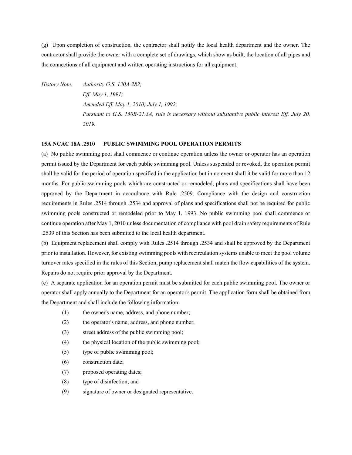(g) Upon completion of construction, the contractor shall notify the local health department and the owner. The contractor shall provide the owner with a complete set of drawings, which show as built, the location of all pipes and the connections of all equipment and written operating instructions for all equipment.

*History Note: Authority G.S. 130A-282; Eff. May 1, 1991; Amended Eff. May 1, 2010; July 1, 1992; Pursuant to G.S. 150B-21.3A, rule is necessary without substantive public interest Eff. July 20, 2019.*

## **15A NCAC 18A .2510 PUBLIC SWIMMING POOL OPERATION PERMITS**

(a) No public swimming pool shall commence or continue operation unless the owner or operator has an operation permit issued by the Department for each public swimming pool. Unless suspended or revoked, the operation permit shall be valid for the period of operation specified in the application but in no event shall it be valid for more than 12 months. For public swimming pools which are constructed or remodeled, plans and specifications shall have been approved by the Department in accordance with Rule .2509. Compliance with the design and construction requirements in Rules .2514 through .2534 and approval of plans and specifications shall not be required for public swimming pools constructed or remodeled prior to May 1, 1993. No public swimming pool shall commence or continue operation after May 1, 2010 unless documentation of compliance with pool drain safety requirements of Rule .2539 of this Section has been submitted to the local health department.

(b) Equipment replacement shall comply with Rules .2514 through .2534 and shall be approved by the Department prior to installation. However, for existing swimming pools with recirculation systems unable to meet the pool volume turnover rates specified in the rules of this Section, pump replacement shall match the flow capabilities of the system. Repairs do not require prior approval by the Department.

(c) A separate application for an operation permit must be submitted for each public swimming pool. The owner or operator shall apply annually to the Department for an operator's permit. The application form shall be obtained from the Department and shall include the following information:

- (1) the owner's name, address, and phone number;
- (2) the operator's name, address, and phone number;
- (3) street address of the public swimming pool;
- (4) the physical location of the public swimming pool;
- (5) type of public swimming pool;
- (6) construction date;
- (7) proposed operating dates;
- (8) type of disinfection; and
- (9) signature of owner or designated representative.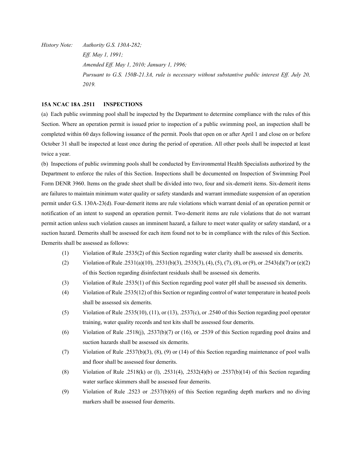*History Note: Authority G.S. 130A-282; Eff. May 1, 1991; Amended Eff. May 1, 2010; January 1, 1996; Pursuant to G.S. 150B-21.3A, rule is necessary without substantive public interest Eff. July 20, 2019.*

# **15A NCAC 18A .2511 INSPECTIONS**

(a) Each public swimming pool shall be inspected by the Department to determine compliance with the rules of this Section. Where an operation permit is issued prior to inspection of a public swimming pool, an inspection shall be completed within 60 days following issuance of the permit. Pools that open on or after April 1 and close on or before October 31 shall be inspected at least once during the period of operation. All other pools shall be inspected at least twice a year.

(b) Inspections of public swimming pools shall be conducted by Environmental Health Specialists authorized by the Department to enforce the rules of this Section. Inspections shall be documented on Inspection of Swimming Pool Form DENR 3960. Items on the grade sheet shall be divided into two, four and six-demerit items. Six-demerit items are failures to maintain minimum water quality or safety standards and warrant immediate suspension of an operation permit under G.S. 130A-23(d). Four-demerit items are rule violations which warrant denial of an operation permit or notification of an intent to suspend an operation permit. Two-demerit items are rule violations that do not warrant permit action unless such violation causes an imminent hazard, a failure to meet water quality or safety standard, or a suction hazard. Demerits shall be assessed for each item found not to be in compliance with the rules of this Section. Demerits shall be assessed as follows:

- (1) Violation of Rule .2535(2) of this Section regarding water clarity shall be assessed six demerits.
- (2) Violation of Rule .2531(a)(10), .2531(b)(3), .2535(3), (4), (5), (7), (8), or (9), or .2543(d)(7) or (e)(2) of this Section regarding disinfectant residuals shall be assessed six demerits.
- (3) Violation of Rule .2535(1) of this Section regarding pool water pH shall be assessed six demerits.
- (4) Violation of Rule .2535(12) of this Section or regarding control of water temperature in heated pools shall be assessed six demerits.
- (5) Violation of Rule .2535(10), (11), or (13), .2537(c), or .2540 of this Section regarding pool operator training, water quality records and test kits shall be assessed four demerits.
- (6) Violation of Rule .2518(j), .2537(b)(7) or (16), or .2539 of this Section regarding pool drains and suction hazards shall be assessed six demerits.
- (7) Violation of Rule .2537(b)(3), (8), (9) or (14) of this Section regarding maintenance of pool walls and floor shall be assessed four demerits.
- (8) Violation of Rule .2518(k) or (1), .2531(4), .2532(4)(b) or .2537(b)(14) of this Section regarding water surface skimmers shall be assessed four demerits.
- (9) Violation of Rule .2523 or .2537(b)(6) of this Section regarding depth markers and no diving markers shall be assessed four demerits.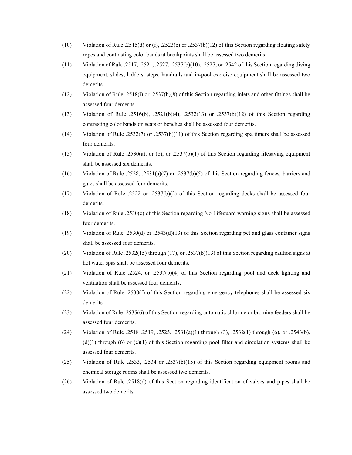- (10) Violation of Rule .2515(d) or (f), .2523(e) or .2537(b)(12) of this Section regarding floating safety ropes and contrasting color bands at breakpoints shall be assessed two demerits.
- (11) Violation of Rule .2517, .2521, .2527, .2537(b)(10), .2527, or .2542 of this Section regarding diving equipment, slides, ladders, steps, handrails and in-pool exercise equipment shall be assessed two demerits.
- (12) Violation of Rule .2518(i) or .2537(b)(8) of this Section regarding inlets and other fittings shall be assessed four demerits.
- (13) Violation of Rule .2516(b), .2521(b)(4), .2532(13) or .2537(b)(12) of this Section regarding contrasting color bands on seats or benches shall be assessed four demerits.
- (14) Violation of Rule .2532(7) or .2537(b)(11) of this Section regarding spa timers shall be assessed four demerits.
- (15) Violation of Rule .2530(a), or (b), or .2537(b)(1) of this Section regarding lifesaving equipment shall be assessed six demerits.
- (16) Violation of Rule .2528, .2531(a)(7) or .2537(b)(5) of this Section regarding fences, barriers and gates shall be assessed four demerits.
- (17) Violation of Rule .2522 or .2537(b)(2) of this Section regarding decks shall be assessed four demerits.
- (18) Violation of Rule .2530(c) of this Section regarding No Lifeguard warning signs shall be assessed four demerits.
- (19) Violation of Rule .2530(d) or .2543(d)(13) of this Section regarding pet and glass container signs shall be assessed four demerits.
- (20) Violation of Rule .2532(15) through (17), or .2537(b)(13) of this Section regarding caution signs at hot water spas shall be assessed four demerits.
- (21) Violation of Rule .2524, or .2537(b)(4) of this Section regarding pool and deck lighting and ventilation shall be assessed four demerits.
- (22) Violation of Rule .2530(f) of this Section regarding emergency telephones shall be assessed six demerits.
- (23) Violation of Rule .2535(6) of this Section regarding automatic chlorine or bromine feeders shall be assessed four demerits.
- (24) Violation of Rule .2518 .2519, .2525, .2531(a)(1) through (3), .2532(1) through (6), or .2543(b),  $(d)(1)$  through (6) or  $(e)(1)$  of this Section regarding pool filter and circulation systems shall be assessed four demerits.
- (25) Violation of Rule .2533, .2534 or .2537(b)(15) of this Section regarding equipment rooms and chemical storage rooms shall be assessed two demerits.
- (26) Violation of Rule .2518(d) of this Section regarding identification of valves and pipes shall be assessed two demerits.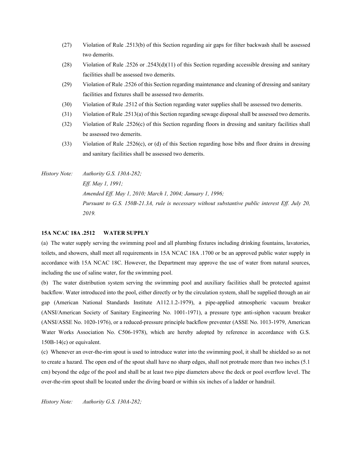- (27) Violation of Rule .2513(b) of this Section regarding air gaps for filter backwash shall be assessed two demerits.
- (28) Violation of Rule .2526 or .2543(d)(11) of this Section regarding accessible dressing and sanitary facilities shall be assessed two demerits.
- (29) Violation of Rule .2526 of this Section regarding maintenance and cleaning of dressing and sanitary facilities and fixtures shall be assessed two demerits.
- (30) Violation of Rule .2512 of this Section regarding water supplies shall be assessed two demerits.
- (31) Violation of Rule .2513(a) of this Section regarding sewage disposal shall be assessed two demerits.
- (32) Violation of Rule .2526(c) of this Section regarding floors in dressing and sanitary facilities shall be assessed two demerits.
- (33) Violation of Rule .2526(c), or (d) of this Section regarding hose bibs and floor drains in dressing and sanitary facilities shall be assessed two demerits.
- *History Note: Authority G.S. 130A-282; Eff. May 1, 1991; Amended Eff. May 1, 2010; March 1, 2004; January 1, 1996; Pursuant to G.S. 150B-21.3A, rule is necessary without substantive public interest Eff. July 20, 2019.*

#### **15A NCAC 18A .2512 WATER SUPPLY**

(a) The water supply serving the swimming pool and all plumbing fixtures including drinking fountains, lavatories, toilets, and showers, shall meet all requirements in 15A NCAC 18A .1700 or be an approved public water supply in accordance with 15A NCAC 18C. However, the Department may approve the use of water from natural sources, including the use of saline water, for the swimming pool.

(b) The water distribution system serving the swimming pool and auxiliary facilities shall be protected against backflow. Water introduced into the pool, either directly or by the circulation system, shall be supplied through an air gap (American National Standards Institute A112.1.2-1979), a pipe-applied atmospheric vacuum breaker (ANSI/American Society of Sanitary Engineering No. 1001-1971), a pressure type anti-siphon vacuum breaker (ANSI/ASSE No. 1020-1976), or a reduced-pressure principle backflow preventer (ASSE No. 1013-1979, American Water Works Association No. C506-1978), which are hereby adopted by reference in accordance with G.S. 150B-14(c) or equivalent.

(c) Whenever an over-the-rim spout is used to introduce water into the swimming pool, it shall be shielded so as not to create a hazard. The open end of the spout shall have no sharp edges, shall not protrude more than two inches (5.1 cm) beyond the edge of the pool and shall be at least two pipe diameters above the deck or pool overflow level. The over-the-rim spout shall be located under the diving board or within six inches of a ladder or handrail.

*History Note: Authority G.S. 130A-282;*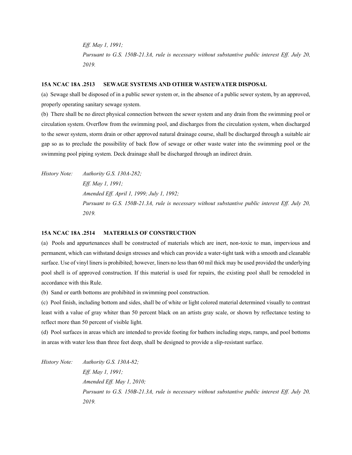*Eff. May 1, 1991; Pursuant to G.S. 150B-21.3A, rule is necessary without substantive public interest Eff. July 20, 2019.*

## **15A NCAC 18A .2513 SEWAGE SYSTEMS AND OTHER WASTEWATER DISPOSAL**

(a) Sewage shall be disposed of in a public sewer system or, in the absence of a public sewer system, by an approved, properly operating sanitary sewage system.

(b) There shall be no direct physical connection between the sewer system and any drain from the swimming pool or circulation system. Overflow from the swimming pool, and discharges from the circulation system, when discharged to the sewer system, storm drain or other approved natural drainage course, shall be discharged through a suitable air gap so as to preclude the possibility of back flow of sewage or other waste water into the swimming pool or the swimming pool piping system. Deck drainage shall be discharged through an indirect drain.

*History Note: Authority G.S. 130A-282; Eff. May 1, 1991; Amended Eff. April 1, 1999; July 1, 1992; Pursuant to G.S. 150B-21.3A, rule is necessary without substantive public interest Eff. July 20, 2019.*

# **15A NCAC 18A .2514 MATERIALS OF CONSTRUCTION**

(a) Pools and appurtenances shall be constructed of materials which are inert, non-toxic to man, impervious and permanent, which can withstand design stresses and which can provide a water-tight tank with a smooth and cleanable surface. Use of vinyl liners is prohibited; however, liners no less than 60 mil thick may be used provided the underlying pool shell is of approved construction. If this material is used for repairs, the existing pool shall be remodeled in accordance with this Rule.

(b) Sand or earth bottoms are prohibited in swimming pool construction.

(c) Pool finish, including bottom and sides, shall be of white or light colored material determined visually to contrast least with a value of gray whiter than 50 percent black on an artists gray scale, or shown by reflectance testing to reflect more than 50 percent of visible light.

(d) Pool surfaces in areas which are intended to provide footing for bathers including steps, ramps, and pool bottoms in areas with water less than three feet deep, shall be designed to provide a slip-resistant surface.

*History Note: Authority G.S. 130A-82; Eff. May 1, 1991; Amended Eff. May 1, 2010; Pursuant to G.S. 150B-21.3A, rule is necessary without substantive public interest Eff. July 20, 2019.*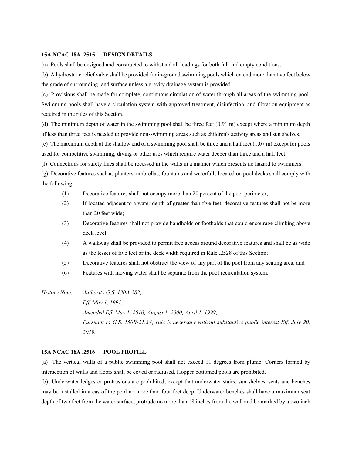#### **15A NCAC 18A .2515 DESIGN DETAILS**

(a) Pools shall be designed and constructed to withstand all loadings for both full and empty conditions.

(b) A hydrostatic relief valve shall be provided for in-ground swimming pools which extend more than two feet below the grade of surrounding land surface unless a gravity drainage system is provided.

(c) Provisions shall be made for complete, continuous circulation of water through all areas of the swimming pool. Swimming pools shall have a circulation system with approved treatment, disinfection, and filtration equipment as required in the rules of this Section.

(d) The minimum depth of water in the swimming pool shall be three feet (0.91 m) except where a minimum depth of less than three feet is needed to provide non-swimming areas such as children's activity areas and sun shelves.

(e) The maximum depth at the shallow end of a swimming pool shall be three and a half feet  $(1.07 \text{ m})$  except for pools used for competitive swimming, diving or other uses which require water deeper than three and a half feet.

(f) Connections for safety lines shall be recessed in the walls in a manner which presents no hazard to swimmers.

(g) Decorative features such as planters, umbrellas, fountains and waterfalls located on pool decks shall comply with the following:

- (1) Decorative features shall not occupy more than 20 percent of the pool perimeter;
- (2) If located adjacent to a water depth of greater than five feet, decorative features shall not be more than 20 feet wide;
- (3) Decorative features shall not provide handholds or footholds that could encourage climbing above deck level;
- (4) A walkway shall be provided to permit free access around decorative features and shall be as wide as the lesser of five feet or the deck width required in Rule .2528 of this Section;
- (5) Decorative features shall not obstruct the view of any part of the pool from any seating area; and
- (6) Features with moving water shall be separate from the pool recirculation system.
- *History Note: Authority G.S. 130A-282; Eff. May 1, 1991; Amended Eff. May 1, 2010; August 1, 2000; April 1, 1999; Pursuant to G.S. 150B-21.3A, rule is necessary without substantive public interest Eff. July 20, 2019.*

## **15A NCAC 18A .2516 POOL PROFILE**

(a) The vertical walls of a public swimming pool shall not exceed 11 degrees from plumb. Corners formed by intersection of walls and floors shall be coved or radiused. Hopper bottomed pools are prohibited.

(b) Underwater ledges or protrusions are prohibited; except that underwater stairs, sun shelves, seats and benches may be installed in areas of the pool no more than four feet deep. Underwater benches shall have a maximum seat depth of two feet from the water surface, protrude no more than 18 inches from the wall and be marked by a two inch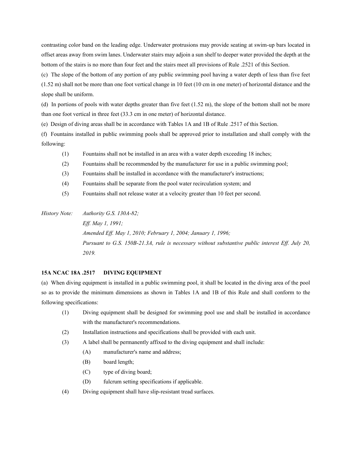contrasting color band on the leading edge. Underwater protrusions may provide seating at swim-up bars located in offset areas away from swim lanes. Underwater stairs may adjoin a sun shelf to deeper water provided the depth at the bottom of the stairs is no more than four feet and the stairs meet all provisions of Rule .2521 of this Section.

(c) The slope of the bottom of any portion of any public swimming pool having a water depth of less than five feet (1.52 m) shall not be more than one foot vertical change in 10 feet (10 cm in one meter) of horizontal distance and the slope shall be uniform.

(d) In portions of pools with water depths greater than five feet  $(1.52 \text{ m})$ , the slope of the bottom shall not be more than one foot vertical in three feet (33.3 cm in one meter) of horizontal distance.

(e) Design of diving areas shall be in accordance with Tables 1A and 1B of Rule .2517 of this Section.

(f) Fountains installed in public swimming pools shall be approved prior to installation and shall comply with the following:

- (1) Fountains shall not be installed in an area with a water depth exceeding 18 inches;
- (2) Fountains shall be recommended by the manufacturer for use in a public swimming pool;
- (3) Fountains shall be installed in accordance with the manufacturer's instructions;
- (4) Fountains shall be separate from the pool water recirculation system; and
- (5) Fountains shall not release water at a velocity greater than 10 feet per second.

*History Note: Authority G.S. 130A-82; Eff. May 1, 1991; Amended Eff. May 1, 2010; February 1, 2004; January 1, 1996; Pursuant to G.S. 150B-21.3A, rule is necessary without substantive public interest Eff. July 20, 2019.*

## **15A NCAC 18A .2517 DIVING EQUIPMENT**

(a) When diving equipment is installed in a public swimming pool, it shall be located in the diving area of the pool so as to provide the minimum dimensions as shown in Tables 1A and 1B of this Rule and shall conform to the following specifications:

- (1) Diving equipment shall be designed for swimming pool use and shall be installed in accordance with the manufacturer's recommendations.
- (2) Installation instructions and specifications shall be provided with each unit.
- (3) A label shall be permanently affixed to the diving equipment and shall include:
	- (A) manufacturer's name and address;
	- (B) board length;
	- (C) type of diving board;
	- (D) fulcrum setting specifications if applicable.
- (4) Diving equipment shall have slip-resistant tread surfaces.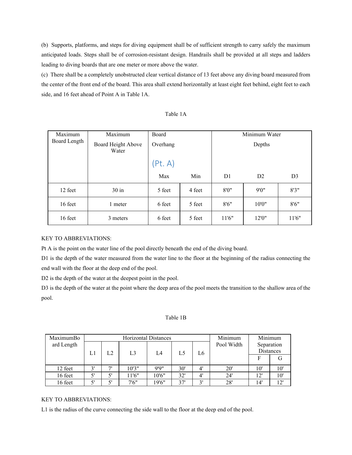(b) Supports, platforms, and steps for diving equipment shall be of sufficient strength to carry safely the maximum anticipated loads. Steps shall be of corrosion-resistant design. Handrails shall be provided at all steps and ladders leading to diving boards that are one meter or more above the water.

(c) There shall be a completely unobstructed clear vertical distance of 13 feet above any diving board measured from the center of the front end of the board. This area shall extend horizontally at least eight feet behind, eight feet to each side, and 16 feet ahead of Point A in Table 1A.

| abie |  |
|------|--|
|------|--|

| Maximum      | Maximum                     | Board    |        | Minimum Water<br>Depths |        |                |  |
|--------------|-----------------------------|----------|--------|-------------------------|--------|----------------|--|
| Board Length | Board Height Above<br>Water | Overhang |        |                         |        |                |  |
|              |                             | (Pt. A)  |        |                         |        |                |  |
|              |                             | Max      | Min    | D <sub>1</sub>          | D2     | D <sub>3</sub> |  |
| 12 feet      | $30$ in                     | 5 feet   | 4 feet | 8'0''                   | 9'0''  | 8'3''          |  |
| 16 feet      | 1 meter                     | 6 feet   | 5 feet | 8'6''                   | 10'0"  | 8'6''          |  |
| 16 feet      | 3 meters                    | 6 feet   | 5 feet | 11'6"                   | 12'0'' | 11'6"          |  |

# KEY TO ABBREVIATIONS:

Pt A is the point on the water line of the pool directly beneath the end of the diving board.

D1 is the depth of the water measured from the water line to the floor at the beginning of the radius connecting the end wall with the floor at the deep end of the pool.

D2 is the depth of the water at the deepest point in the pool.

D3 is the depth of the water at the point where the deep area of the pool meets the transition to the shallow area of the pool.

## Table 1B

| MaximumBo  | <b>Horizontal Distances</b> |              |                |       |     | Minimum     | Minimum    |                                |      |
|------------|-----------------------------|--------------|----------------|-------|-----|-------------|------------|--------------------------------|------|
| ard Length |                             |              |                |       |     |             | Pool Width | Separation<br><b>Distances</b> |      |
|            | L1                          | L2           | L <sub>3</sub> | L4    | L5  | L6          |            |                                |      |
|            |                             |              |                |       |     |             |            |                                |      |
| 12 feet    | 3'                          | $\mathbf{u}$ | 10'3"          | 9'9'' | 30' | $\Lambda$ ' | 20'        | 10'                            | 10'  |
| 16 feet    | 5'                          |              | 11'6"          | 10'6" | 32' | $\Lambda$ ' | 24'        | 12'                            | 10'  |
| 16 feet    | 5'                          |              | 7'6''          | 19'6" | 37' | 2'          | 28'        | 14'                            | י רו |

# KEY TO ABBREVIATIONS:

L1 is the radius of the curve connecting the side wall to the floor at the deep end of the pool.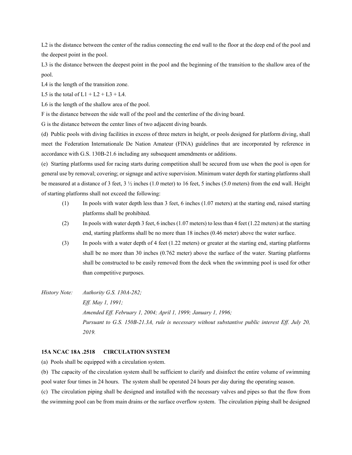L2 is the distance between the center of the radius connecting the end wall to the floor at the deep end of the pool and the deepest point in the pool.

L<sub>3</sub> is the distance between the deepest point in the pool and the beginning of the transition to the shallow area of the pool.

L4 is the length of the transition zone.

L5 is the total of  $L1 + L2 + L3 + L4$ .

L6 is the length of the shallow area of the pool.

F is the distance between the side wall of the pool and the centerline of the diving board.

G is the distance between the center lines of two adjacent diving boards.

(d) Public pools with diving facilities in excess of three meters in height, or pools designed for platform diving, shall meet the Federation Internationale De Nation Amateur (FINA) guidelines that are incorporated by reference in accordance with G.S. 130B-21.6 including any subsequent amendments or additions.

(e) Starting platforms used for racing starts during competition shall be secured from use when the pool is open for general use by removal; covering; or signage and active supervision. Minimum water depth for starting platforms shall be measured at a distance of 3 feet,  $3\frac{1}{2}$  inches (1.0 meter) to 16 feet, 5 inches (5.0 meters) from the end wall. Height of starting platforms shall not exceed the following:

- (1) In pools with water depth less than 3 feet, 6 inches (1.07 meters) at the starting end, raised starting platforms shall be prohibited.
- (2) In pools with water depth 3 feet, 6 inches (1.07 meters) to less than 4 feet (1.22 meters) at the starting end, starting platforms shall be no more than 18 inches (0.46 meter) above the water surface.
- (3) In pools with a water depth of 4 feet (1.22 meters) or greater at the starting end, starting platforms shall be no more than 30 inches (0.762 meter) above the surface of the water. Starting platforms shall be constructed to be easily removed from the deck when the swimming pool is used for other than competitive purposes.
- *History Note: Authority G.S. 130A-282; Eff. May 1, 1991; Amended Eff. February 1, 2004; April 1, 1999; January 1, 1996; Pursuant to G.S. 150B-21.3A, rule is necessary without substantive public interest Eff. July 20, 2019.*

## **15A NCAC 18A .2518 CIRCULATION SYSTEM**

(a) Pools shall be equipped with a circulation system.

(b) The capacity of the circulation system shall be sufficient to clarify and disinfect the entire volume of swimming pool water four times in 24 hours. The system shall be operated 24 hours per day during the operating season.

(c) The circulation piping shall be designed and installed with the necessary valves and pipes so that the flow from the swimming pool can be from main drains or the surface overflow system. The circulation piping shall be designed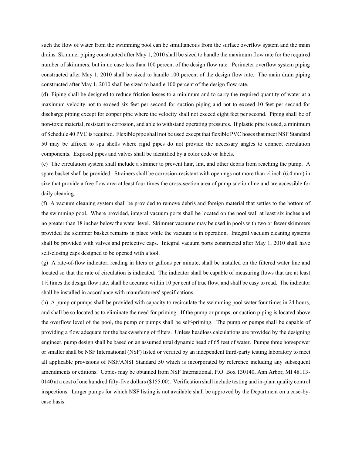such the flow of water from the swimming pool can be simultaneous from the surface overflow system and the main drains. Skimmer piping constructed after May 1, 2010 shall be sized to handle the maximum flow rate for the required number of skimmers, but in no case less than 100 percent of the design flow rate. Perimeter overflow system piping constructed after May 1, 2010 shall be sized to handle 100 percent of the design flow rate. The main drain piping constructed after May 1, 2010 shall be sized to handle 100 percent of the design flow rate.

(d) Piping shall be designed to reduce friction losses to a minimum and to carry the required quantity of water at a maximum velocity not to exceed six feet per second for suction piping and not to exceed 10 feet per second for discharge piping except for copper pipe where the velocity shall not exceed eight feet per second. Piping shall be of non-toxic material, resistant to corrosion, and able to withstand operating pressures. If plastic pipe is used, a minimum of Schedule 40 PVC is required. Flexible pipe shall not be used except that flexible PVC hoses that meet NSF Standard 50 may be affixed to spa shells where rigid pipes do not provide the necessary angles to connect circulation components. Exposed pipes and valves shall be identified by a color code or labels.

(e) The circulation system shall include a strainer to prevent hair, lint, and other debris from reaching the pump. A spare basket shall be provided. Strainers shall be corrosion-resistant with openings not more than  $\frac{1}{4}$  inch (6.4 mm) in size that provide a free flow area at least four times the cross-section area of pump suction line and are accessible for daily cleaning.

(f) A vacuum cleaning system shall be provided to remove debris and foreign material that settles to the bottom of the swimming pool. Where provided, integral vacuum ports shall be located on the pool wall at least six inches and no greater than 18 inches below the water level. Skimmer vacuums may be used in pools with two or fewer skimmers provided the skimmer basket remains in place while the vacuum is in operation. Integral vacuum cleaning systems shall be provided with valves and protective caps. Integral vacuum ports constructed after May 1, 2010 shall have self-closing caps designed to be opened with a tool.

(g) A rate-of-flow indicator, reading in liters or gallons per minute, shall be installed on the filtered water line and located so that the rate of circulation is indicated. The indicator shall be capable of measuring flows that are at least 1½ times the design flow rate, shall be accurate within 10 per cent of true flow, and shall be easy to read. The indicator shall be installed in accordance with manufacturers' specifications.

(h) A pump or pumps shall be provided with capacity to recirculate the swimming pool water four times in 24 hours, and shall be so located as to eliminate the need for priming. If the pump or pumps, or suction piping is located above the overflow level of the pool, the pump or pumps shall be self-priming. The pump or pumps shall be capable of providing a flow adequate for the backwashing of filters. Unless headloss calculations are provided by the designing engineer, pump design shall be based on an assumed total dynamic head of 65 feet of water. Pumps three horsepower or smaller shall be NSF International (NSF) listed or verified by an independent third-party testing laboratory to meet all applicable provisions of NSF/ANSI Standard 50 which is incorporated by reference including any subsequent amendments or editions. Copies may be obtained from NSF International, P.O. Box 130140, Ann Arbor, MI 48113- 0140 at a cost of one hundred fifty-five dollars (\$155.00). Verification shall include testing and in-plant quality control inspections. Larger pumps for which NSF listing is not available shall be approved by the Department on a case-bycase basis.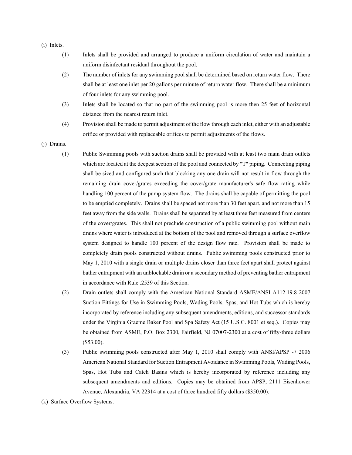- (i) Inlets.
	- (1) Inlets shall be provided and arranged to produce a uniform circulation of water and maintain a uniform disinfectant residual throughout the pool.
	- (2) The number of inlets for any swimming pool shall be determined based on return water flow. There shall be at least one inlet per 20 gallons per minute of return water flow. There shall be a minimum of four inlets for any swimming pool.
	- (3) Inlets shall be located so that no part of the swimming pool is more then 25 feet of horizontal distance from the nearest return inlet.
	- (4) Provision shall be made to permit adjustment of the flow through each inlet, either with an adjustable orifice or provided with replaceable orifices to permit adjustments of the flows.
- (j) Drains.
	- (1) Public Swimming pools with suction drains shall be provided with at least two main drain outlets which are located at the deepest section of the pool and connected by "T" piping. Connecting piping shall be sized and configured such that blocking any one drain will not result in flow through the remaining drain cover/grates exceeding the cover/grate manufacturer's safe flow rating while handling 100 percent of the pump system flow. The drains shall be capable of permitting the pool to be emptied completely. Drains shall be spaced not more than 30 feet apart, and not more than 15 feet away from the side walls. Drains shall be separated by at least three feet measured from centers of the cover/grates. This shall not preclude construction of a public swimming pool without main drains where water is introduced at the bottom of the pool and removed through a surface overflow system designed to handle 100 percent of the design flow rate. Provision shall be made to completely drain pools constructed without drains. Public swimming pools constructed prior to May 1, 2010 with a single drain or multiple drains closer than three feet apart shall protect against bather entrapment with an unblockable drain or a secondary method of preventing bather entrapment in accordance with Rule .2539 of this Section.
	- (2) Drain outlets shall comply with the American National Standard ASME/ANSI A112.19.8-2007 Suction Fittings for Use in Swimming Pools, Wading Pools, Spas, and Hot Tubs which is hereby incorporated by reference including any subsequent amendments, editions, and successor standards under the Virginia Graeme Baker Pool and Spa Safety Act (15 U.S.C. 8001 et seq.). Copies may be obtained from ASME, P.O. Box 2300, Fairfield, NJ 07007-2300 at a cost of fifty-three dollars (\$53.00).
	- (3) Public swimming pools constructed after May 1, 2010 shall comply with ANSI/APSP -7 2006 American National Standard for Suction Entrapment Avoidance in Swimming Pools, Wading Pools, Spas, Hot Tubs and Catch Basins which is hereby incorporated by reference including any subsequent amendments and editions. Copies may be obtained from APSP, 2111 Eisenhower Avenue, Alexandria, VA 22314 at a cost of three hundred fifty dollars (\$350.00).
- (k) Surface Overflow Systems.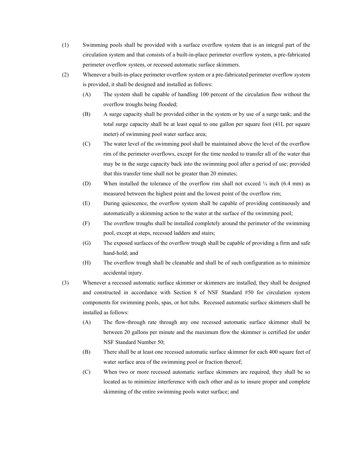- (1) Swimming pools shall be provided with a surface overflow system that is an integral part of the circulation system and that consists of a built-in-place perimeter overflow system, a pre-fabricated perimeter overflow system, or recessed automatic surface skimmers.
- (2) Whenever a built-in-place perimeter overflow system or a pre-fabricated perimeter overflow system is provided, it shall be designed and installed as follows:
	- (A) The system shall be capable of handling 100 percent of the circulation flow without the overflow troughs being flooded;
	- (B) A surge capacity shall be provided either in the system or by use of a surge tank; and the total surge capacity shall be at least equal to one gallon per square foot (41L per square meter) of swimming pool water surface area;
	- (C) The water level of the swimming pool shall be maintained above the level of the overflow rim of the perimeter overflows, except for the time needed to transfer all of the water that may be in the surge capacity back into the swimming pool after a period of use; provided that this transfer time shall not be greater than 20 minutes;
	- (D) When installed the tolerance of the overflow rim shall not exceed  $\frac{1}{4}$  inch (6.4 mm) as measured between the highest point and the lowest point of the overflow rim;
	- (E) During quiescence, the overflow system shall be capable of providing continuously and automatically a skimming action to the water at the surface of the swimming pool;
	- (F) The overflow troughs shall be installed completely around the perimeter of the swimming pool, except at steps, recessed ladders and stairs;
	- (G) The exposed surfaces of the overflow trough shall be capable of providing a firm and safe hand-hold; and
	- (H) The overflow trough shall be cleanable and shall be of such configuration as to minimize accidental injury.
- (3) Whenever a recessed automatic surface skimmer or skimmers are installed, they shall be designed and constructed in accordance with Section 8 of NSF Standard #50 for circulation system components for swimming pools, spas, or hot tubs. Recessed automatic surface skimmers shall be installed as follows:
	- (A) The flow-through rate through any one recessed automatic surface skimmer shall be between 20 gallons per minute and the maximum flow the skimmer is certified for under NSF Standard Number 50;
	- (B) There shall be at least one recessed automatic surface skimmer for each 400 square feet of water surface area of the swimming pool or fraction thereof;
	- (C) When two or more recessed automatic surface skimmers are required, they shall be so located as to minimize interference with each other and as to insure proper and complete skimming of the entire swimming pools water surface; and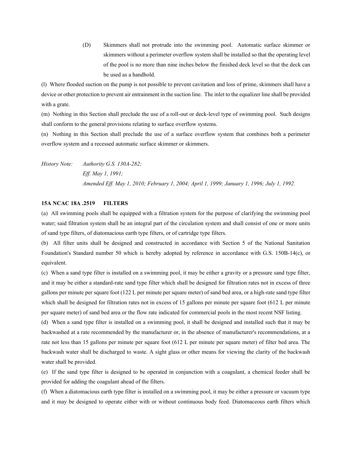(D) Skimmers shall not protrude into the swimming pool. Automatic surface skimmer or skimmers without a perimeter overflow system shall be installed so that the operating level of the pool is no more than nine inches below the finished deck level so that the deck can be used as a handhold.

(l) Where flooded suction on the pump is not possible to prevent cavitation and loss of prime, skimmers shall have a device or other protection to prevent air entrainment in the suction line. The inlet to the equalizer line shall be provided with a grate.

(m) Nothing in this Section shall preclude the use of a roll-out or deck-level type of swimming pool. Such designs shall conform to the general provisions relating to surface overflow systems.

(n) Nothing in this Section shall preclude the use of a surface overflow system that combines both a perimeter overflow system and a recessed automatic surface skimmer or skimmers.

*History Note: Authority G.S. 130A-282; Eff. May 1, 1991; Amended Eff. May 1, 2010; February 1, 2004; April 1, 1999; January 1, 1996; July 1, 1992.*

## **15A NCAC 18A .2519 FILTERS**

(a) All swimming pools shall be equipped with a filtration system for the purpose of clarifying the swimming pool water; said filtration system shall be an integral part of the circulation system and shall consist of one or more units of sand type filters, of diatomacious earth type filters, or of cartridge type filters.

(b) All filter units shall be designed and constructed in accordance with Section 5 of the National Sanitation Foundation's Standard number 50 which is hereby adopted by reference in accordance with G.S. 150B-14(c), or equivalent.

(c) When a sand type filter is installed on a swimming pool, it may be either a gravity or a pressure sand type filter, and it may be either a standard-rate sand type filter which shall be designed for filtration rates not in excess of three gallons per minute per square foot (122 L per minute per square meter) of sand bed area, or a high-rate sand type filter which shall be designed for filtration rates not in excess of 15 gallons per minute per square foot (612 L per minute per square meter) of sand bed area or the flow rate indicated for commercial pools in the most recent NSF listing.

(d) When a sand type filter is installed on a swimming pool, it shall be designed and installed such that it may be backwashed at a rate recommended by the manufacturer or, in the absence of manufacturer's recommendations, at a rate not less than 15 gallons per minute per square foot (612 L per minute per square meter) of filter bed area. The backwash water shall be discharged to waste. A sight glass or other means for viewing the clarity of the backwash water shall be provided.

(e) If the sand type filter is designed to be operated in conjunction with a coagulant, a chemical feeder shall be provided for adding the coagulant ahead of the filters.

(f) When a diatomacious earth type filter is installed on a swimming pool, it may be either a pressure or vacuum type and it may be designed to operate either with or without continuous body feed. Diatomaceous earth filters which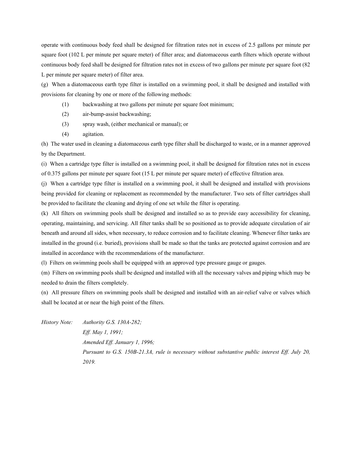operate with continuous body feed shall be designed for filtration rates not in excess of 2.5 gallons per minute per square foot (102 L per minute per square meter) of filter area; and diatomaceous earth filters which operate without continuous body feed shall be designed for filtration rates not in excess of two gallons per minute per square foot (82 L per minute per square meter) of filter area.

(g) When a diatomaceous earth type filter is installed on a swimming pool, it shall be designed and installed with provisions for cleaning by one or more of the following methods:

- (1) backwashing at two gallons per minute per square foot minimum;
- (2) air-bump-assist backwashing;
- (3) spray wash, (either mechanical or manual); or
- (4) agitation.

(h) The water used in cleaning a diatomaceous earth type filter shall be discharged to waste, or in a manner approved by the Department.

(i) When a cartridge type filter is installed on a swimming pool, it shall be designed for filtration rates not in excess of 0.375 gallons per minute per square foot (15 L per minute per square meter) of effective filtration area.

(j) When a cartridge type filter is installed on a swimming pool, it shall be designed and installed with provisions being provided for cleaning or replacement as recommended by the manufacturer. Two sets of filter cartridges shall be provided to facilitate the cleaning and drying of one set while the filter is operating.

(k) All filters on swimming pools shall be designed and installed so as to provide easy accessibility for cleaning, operating, maintaining, and servicing. All filter tanks shall be so positioned as to provide adequate circulation of air beneath and around all sides, when necessary, to reduce corrosion and to facilitate cleaning. Whenever filter tanks are installed in the ground (i.e. buried), provisions shall be made so that the tanks are protected against corrosion and are installed in accordance with the recommendations of the manufacturer.

(l) Filters on swimming pools shall be equipped with an approved type pressure gauge or gauges.

(m) Filters on swimming pools shall be designed and installed with all the necessary valves and piping which may be needed to drain the filters completely.

(n) All pressure filters on swimming pools shall be designed and installed with an air-relief valve or valves which shall be located at or near the high point of the filters.

*History Note: Authority G.S. 130A-282; Eff. May 1, 1991; Amended Eff. January 1, 1996; Pursuant to G.S. 150B-21.3A, rule is necessary without substantive public interest Eff. July 20, 2019.*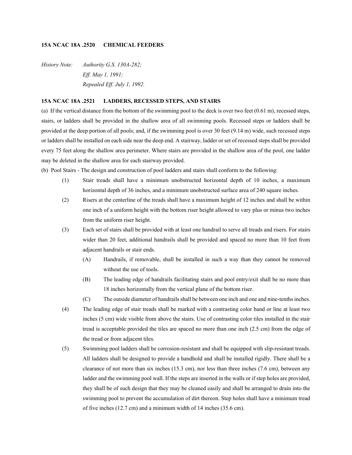# **15A NCAC 18A .2520 CHEMICAL FEEDERS**

*History Note: Authority G.S. 130A-282; Eff. May 1, 1991; Repealed Eff. July 1, 1992.*

# **15A NCAC 18A .2521 LADDERS, RECESSED STEPS, AND STAIRS**

(a) If the vertical distance from the bottom of the swimming pool to the deck is over two feet (0.61 m), recessed steps, stairs, or ladders shall be provided in the shallow area of all swimming pools. Recessed steps or ladders shall be provided at the deep portion of all pools; and, if the swimming pool is over 30 feet (9.14 m) wide, such recessed steps or ladders shall be installed on each side near the deep end. A stairway, ladder or set of recessed steps shall be provided every 75 feet along the shallow area perimeter. Where stairs are provided in the shallow area of the pool, one ladder may be deleted in the shallow area for each stairway provided.

(b) Pool Stairs - The design and construction of pool ladders and stairs shall conform to the following:

- (1) Stair treads shall have a minimum unobstructed horizontal depth of 10 inches, a maximum horizontal depth of 36 inches, and a minimum unobstructed surface area of 240 square inches.
- (2) Risers at the centerline of the treads shall have a maximum height of 12 inches and shall be within one inch of a uniform height with the bottom riser height allowed to vary plus or minus two inches from the uniform riser height.
- (3) Each set of stairs shall be provided with at least one handrail to serve all treads and risers. For stairs wider than 20 feet, additional handrails shall be provided and spaced no more than 10 feet from adjacent handrails or stair ends.
	- (A) Handrails, if removable, shall be installed in such a way than they cannot be removed without the use of tools.
	- (B) The leading edge of handrails facilitating stairs and pool entry/exit shall be no more than 18 inches horizontally from the vertical plane of the bottom riser.
	- (C) The outside diameter of handrails shall be between one inch and one and nine-tenths inches.
- (4) The leading edge of stair treads shall be marked with a contrasting color band or line at least two inches (5 cm) wide visible from above the stairs. Use of contrasting color tiles installed in the stair tread is acceptable provided the tiles are spaced no more than one inch (2.5 cm) from the edge of the tread or from adjacent tiles.
- (5) Swimming pool ladders shall be corrosion-resistant and shall be equipped with slip-resistant treads. All ladders shall be designed to provide a handhold and shall be installed rigidly. There shall be a clearance of not more than six inches (15.3 cm), nor less than three inches (7.6 cm), between any ladder and the swimming pool wall. If the steps are inserted in the walls or if step holes are provided, they shall be of such design that they may be cleaned easily and shall be arranged to drain into the swimming pool to prevent the accumulation of dirt thereon. Step holes shall have a minimum tread of five inches (12.7 cm) and a minimum width of 14 inches (35.6 cm).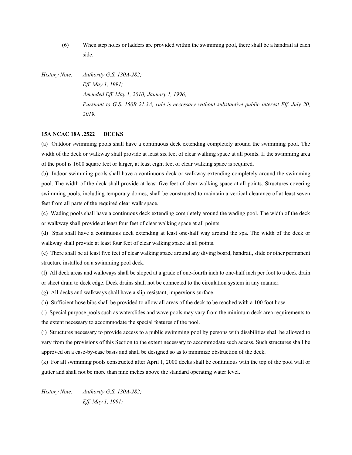(6) When step holes or ladders are provided within the swimming pool, there shall be a handrail at each side.

*History Note: Authority G.S. 130A-282; Eff. May 1, 1991; Amended Eff. May 1, 2010; January 1, 1996; Pursuant to G.S. 150B-21.3A, rule is necessary without substantive public interest Eff. July 20, 2019.*

# **15A NCAC 18A .2522 DECKS**

(a) Outdoor swimming pools shall have a continuous deck extending completely around the swimming pool. The width of the deck or walkway shall provide at least six feet of clear walking space at all points. If the swimming area of the pool is 1600 square feet or larger, at least eight feet of clear walking space is required.

(b) Indoor swimming pools shall have a continuous deck or walkway extending completely around the swimming pool. The width of the deck shall provide at least five feet of clear walking space at all points. Structures covering swimming pools, including temporary domes, shall be constructed to maintain a vertical clearance of at least seven feet from all parts of the required clear walk space.

(c) Wading pools shall have a continuous deck extending completely around the wading pool. The width of the deck or walkway shall provide at least four feet of clear walking space at all points.

(d) Spas shall have a continuous deck extending at least one-half way around the spa. The width of the deck or walkway shall provide at least four feet of clear walking space at all points.

(e) There shall be at least five feet of clear walking space around any diving board, handrail, slide or other permanent structure installed on a swimming pool deck.

(f) All deck areas and walkways shall be sloped at a grade of one-fourth inch to one-half inch per foot to a deck drain or sheet drain to deck edge. Deck drains shall not be connected to the circulation system in any manner.

(g) All decks and walkways shall have a slip-resistant, impervious surface.

(h) Sufficient hose bibs shall be provided to allow all areas of the deck to be reached with a 100 foot hose.

(i) Special purpose pools such as waterslides and wave pools may vary from the minimum deck area requirements to the extent necessary to accommodate the special features of the pool.

(j) Structures necessary to provide access to a public swimming pool by persons with disabilities shall be allowed to vary from the provisions of this Section to the extent necessary to accommodate such access. Such structures shall be approved on a case-by-case basis and shall be designed so as to minimize obstruction of the deck.

(k) For all swimming pools constructed after April 1, 2000 decks shall be continuous with the top of the pool wall or gutter and shall not be more than nine inches above the standard operating water level.

*History Note: Authority G.S. 130A-282; Eff. May 1, 1991;*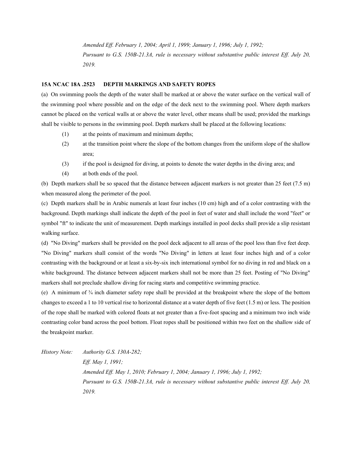*Amended Eff. February 1, 2004; April 1, 1999; January 1, 1996; July 1, 1992; Pursuant to G.S. 150B-21.3A, rule is necessary without substantive public interest Eff. July 20, 2019.*

#### **15A NCAC 18A .2523 DEPTH MARKINGS AND SAFETY ROPES**

(a) On swimming pools the depth of the water shall be marked at or above the water surface on the vertical wall of the swimming pool where possible and on the edge of the deck next to the swimming pool. Where depth markers cannot be placed on the vertical walls at or above the water level, other means shall be used; provided the markings shall be visible to persons in the swimming pool. Depth markers shall be placed at the following locations:

- (1) at the points of maximum and minimum depths;
- (2) at the transition point where the slope of the bottom changes from the uniform slope of the shallow area;
- (3) if the pool is designed for diving, at points to denote the water depths in the diving area; and
- (4) at both ends of the pool.

(b) Depth markers shall be so spaced that the distance between adjacent markers is not greater than 25 feet (7.5 m) when measured along the perimeter of the pool.

(c) Depth markers shall be in Arabic numerals at least four inches (10 cm) high and of a color contrasting with the background. Depth markings shall indicate the depth of the pool in feet of water and shall include the word "feet" or symbol "ft" to indicate the unit of measurement. Depth markings installed in pool decks shall provide a slip resistant walking surface.

(d) "No Diving" markers shall be provided on the pool deck adjacent to all areas of the pool less than five feet deep. "No Diving" markers shall consist of the words "No Diving" in letters at least four inches high and of a color contrasting with the background or at least a six-by-six inch international symbol for no diving in red and black on a white background. The distance between adjacent markers shall not be more than 25 feet. Posting of "No Diving" markers shall not preclude shallow diving for racing starts and competitive swimming practice.

(e) A minimum of ¾ inch diameter safety rope shall be provided at the breakpoint where the slope of the bottom changes to exceed a 1 to 10 vertical rise to horizontal distance at a water depth of five feet (1.5 m) or less. The position of the rope shall be marked with colored floats at not greater than a five-foot spacing and a minimum two inch wide contrasting color band across the pool bottom. Float ropes shall be positioned within two feet on the shallow side of the breakpoint marker.

*History Note: Authority G.S. 130A-282; Eff. May 1, 1991; Amended Eff. May 1, 2010; February 1, 2004; January 1, 1996; July 1, 1992; Pursuant to G.S. 150B-21.3A, rule is necessary without substantive public interest Eff. July 20, 2019.*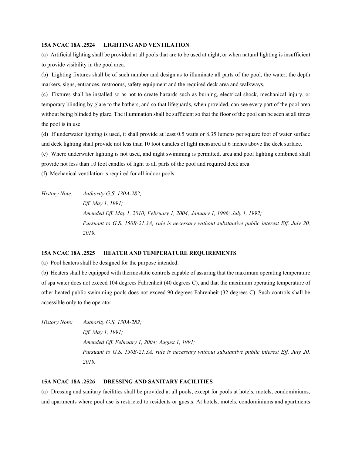## **15A NCAC 18A .2524 LIGHTING AND VENTILATION**

(a) Artificial lighting shall be provided at all pools that are to be used at night, or when natural lighting is insufficient to provide visibility in the pool area.

(b) Lighting fixtures shall be of such number and design as to illuminate all parts of the pool, the water, the depth markers, signs, entrances, restrooms, safety equipment and the required deck area and walkways.

(c) Fixtures shall be installed so as not to create hazards such as burning, electrical shock, mechanical injury, or temporary blinding by glare to the bathers, and so that lifeguards, when provided, can see every part of the pool area without being blinded by glare. The illumination shall be sufficient so that the floor of the pool can be seen at all times the pool is in use.

(d) If underwater lighting is used, it shall provide at least 0.5 watts or 8.35 lumens per square foot of water surface and deck lighting shall provide not less than 10 foot candles of light measured at 6 inches above the deck surface.

(e) Where underwater lighting is not used, and night swimming is permitted, area and pool lighting combined shall provide not less than 10 foot candles of light to all parts of the pool and required deck area.

(f) Mechanical ventilation is required for all indoor pools.

*History Note: Authority G.S. 130A-282; Eff. May 1, 1991; Amended Eff. May 1, 2010; February 1, 2004; January 1, 1996; July 1, 1992; Pursuant to G.S. 150B-21.3A, rule is necessary without substantive public interest Eff. July 20, 2019.*

# **15A NCAC 18A .2525 HEATER AND TEMPERATURE REQUIREMENTS**

(a) Pool heaters shall be designed for the purpose intended.

(b) Heaters shall be equipped with thermostatic controls capable of assuring that the maximum operating temperature of spa water does not exceed 104 degrees Fahrenheit (40 degrees C), and that the maximum operating temperature of other heated public swimming pools does not exceed 90 degrees Fahrenheit (32 degrees C). Such controls shall be accessible only to the operator.

*History Note: Authority G.S. 130A-282; Eff. May 1, 1991; Amended Eff. February 1, 2004; August 1, 1991; Pursuant to G.S. 150B-21.3A, rule is necessary without substantive public interest Eff. July 20, 2019.*

#### **15A NCAC 18A .2526 DRESSING AND SANITARY FACILITIES**

(a) Dressing and sanitary facilities shall be provided at all pools, except for pools at hotels, motels, condominiums, and apartments where pool use is restricted to residents or guests. At hotels, motels, condominiums and apartments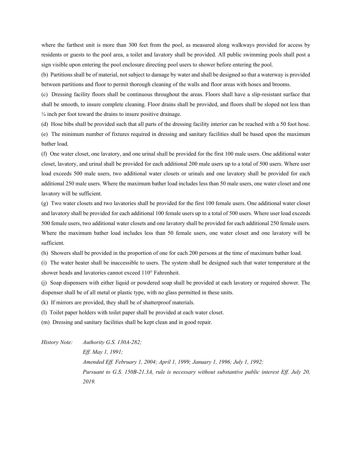where the farthest unit is more than 300 feet from the pool, as measured along walkways provided for access by residents or guests to the pool area, a toilet and lavatory shall be provided. All public swimming pools shall post a sign visible upon entering the pool enclosure directing pool users to shower before entering the pool.

(b) Partitions shall be of material, not subject to damage by water and shall be designed so that a waterway is provided between partitions and floor to permit thorough cleaning of the walls and floor areas with hoses and brooms.

(c) Dressing facility floors shall be continuous throughout the areas. Floors shall have a slip-resistant surface that shall be smooth, to insure complete cleaning. Floor drains shall be provided, and floors shall be sloped not less than ¼ inch per foot toward the drains to insure positive drainage.

(d) Hose bibs shall be provided such that all parts of the dressing facility interior can be reached with a 50 foot hose.

(e) The minimum number of fixtures required in dressing and sanitary facilities shall be based upon the maximum bather load.

(f) One water closet, one lavatory, and one urinal shall be provided for the first 100 male users. One additional water closet, lavatory, and urinal shall be provided for each additional 200 male users up to a total of 500 users. Where user load exceeds 500 male users, two additional water closets or urinals and one lavatory shall be provided for each additional 250 male users. Where the maximum bather load includes less than 50 male users, one water closet and one lavatory will be sufficient.

(g) Two water closets and two lavatories shall be provided for the first 100 female users. One additional water closet and lavatory shall be provided for each additional 100 female users up to a total of 500 users. Where user load exceeds 500 female users, two additional water closets and one lavatory shall be provided for each additional 250 female users. Where the maximum bather load includes less than 50 female users, one water closet and one lavatory will be sufficient.

(h) Showers shall be provided in the proportion of one for each 200 persons at the time of maximum bather load.

(i) The water heater shall be inaccessible to users. The system shall be designed such that water temperature at the shower heads and lavatories cannot exceed 110° Fahrenheit.

(j) Soap dispensers with either liquid or powdered soap shall be provided at each lavatory or required shower. The dispenser shall be of all metal or plastic type, with no glass permitted in these units.

(k) If mirrors are provided, they shall be of shatterproof materials.

(l) Toilet paper holders with toilet paper shall be provided at each water closet.

(m) Dressing and sanitary facilities shall be kept clean and in good repair.

*History Note: Authority G.S. 130A-282; Eff. May 1, 1991; Amended Eff. February 1, 2004; April 1, 1999; January 1, 1996; July 1, 1992; Pursuant to G.S. 150B-21.3A, rule is necessary without substantive public interest Eff. July 20, 2019.*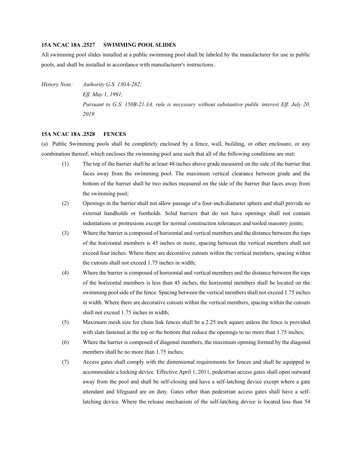## **15A NCAC 18A .2527 SWIMMING POOL SLIDES**

All swimming pool slides installed at a public swimming pool shall be labeled by the manufacturer for use in public pools, and shall be installed in accordance with manufacturer's instructions.

*History Note: Authority G.S. 130A-282; Eff. May 1, 1991; Pursuant to G.S. 150B-21.3A, rule is necessary without substantive public interest Eff. July 20, 2019.*

# **15A NCAC 18A .2528 FENCES**

(a) Public Swimming pools shall be completely enclosed by a fence, wall, building, or other enclosure, or any combination thereof, which encloses the swimming pool area such that all of the following conditions are met:

- (1) The top of the barrier shall be at least 48 inches above grade measured on the side of the barrier that faces away from the swimming pool. The maximum vertical clearance between grade and the bottom of the barrier shall be two inches measured on the side of the barrier that faces away from the swimming pool;
- (2) Openings in the barrier shall not allow passage of a four-inch-diameter sphere and shall provide no external handholds or footholds. Solid barriers that do not have openings shall not contain indentations or protrusions except for normal construction tolerances and tooled masonry joints;
- (3) Where the barrier is composed of horizontal and vertical members and the distance between the tops of the horizontal members is 45 inches or more, spacing between the vertical members shall not exceed four inches. Where there are decorative cutouts within the vertical members, spacing within the cutouts shall not exceed 1.75 inches in width;
- (4) Where the barrier is composed of horizontal and vertical members and the distance between the tops of the horizontal members is less than 45 inches, the horizontal members shall be located on the swimming pool side of the fence. Spacing between the vertical members shall not exceed 1.75 inches in width. Where there are decorative cutouts within the vertical members, spacing within the cutouts shall not exceed 1.75 inches in width;
- (5) Maximum mesh size for chain link fences shall be a 2.25 inch square unless the fence is provided with slats fastened at the top or the bottom that reduce the openings to no more than 1.75 inches;
- (6) Where the barrier is composed of diagonal members, the maximum opening formed by the diagonal members shall be no more than 1.75 inches;
- (7) Access gates shall comply with the dimensional requirements for fences and shall be equipped to accommodate a locking device. Effective April 1, 2011, pedestrian access gates shall open outward away from the pool and shall be self-closing and have a self-latching device except where a gate attendant and lifeguard are on duty. Gates other than pedestrian access gates shall have a selflatching device. Where the release mechanism of the self-latching device is located less than 54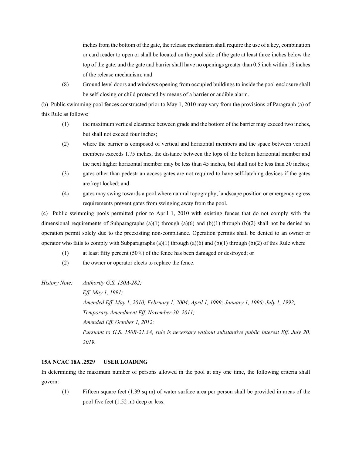inches from the bottom of the gate, the release mechanism shall require the use of a key, combination or card reader to open or shall be located on the pool side of the gate at least three inches below the top of the gate, and the gate and barrier shall have no openings greater than 0.5 inch within 18 inches of the release mechanism; and

(8) Ground level doors and windows opening from occupied buildings to inside the pool enclosure shall be self-closing or child protected by means of a barrier or audible alarm.

(b) Public swimming pool fences constructed prior to May 1, 2010 may vary from the provisions of Paragraph (a) of this Rule as follows:

- (1) the maximum vertical clearance between grade and the bottom of the barrier may exceed two inches, but shall not exceed four inches;
- (2) where the barrier is composed of vertical and horizontal members and the space between vertical members exceeds 1.75 inches, the distance between the tops of the bottom horizontal member and the next higher horizontal member may be less than 45 inches, but shall not be less than 30 inches;
- (3) gates other than pedestrian access gates are not required to have self-latching devices if the gates are kept locked; and
- (4) gates may swing towards a pool where natural topography, landscape position or emergency egress requirements prevent gates from swinging away from the pool.

(c) Public swimming pools permitted prior to April 1, 2010 with existing fences that do not comply with the dimensional requirements of Subparagraphs (a)(1) through (a)(6) and (b)(1) through (b)(2) shall not be denied an operation permit solely due to the preexisting non-compliance. Operation permits shall be denied to an owner or operator who fails to comply with Subparagraphs (a)(1) through (a)(6) and (b)(1) through (b)(2) of this Rule when:

- (1) at least fifty percent (50%) of the fence has been damaged or destroyed; or
- (2) the owner or operator elects to replace the fence.

*History Note: Authority G.S. 130A-282;*

*Eff. May 1, 1991; Amended Eff. May 1, 2010; February 1, 2004; April 1, 1999; January 1, 1996; July 1, 1992; Temporary Amendment Eff. November 30, 2011; Amended Eff. October 1, 2012; Pursuant to G.S. 150B-21.3A, rule is necessary without substantive public interest Eff. July 20, 2019.*

# **15A NCAC 18A .2529 USER LOADING**

In determining the maximum number of persons allowed in the pool at any one time, the following criteria shall govern:

(1) Fifteen square feet (1.39 sq m) of water surface area per person shall be provided in areas of the pool five feet (1.52 m) deep or less.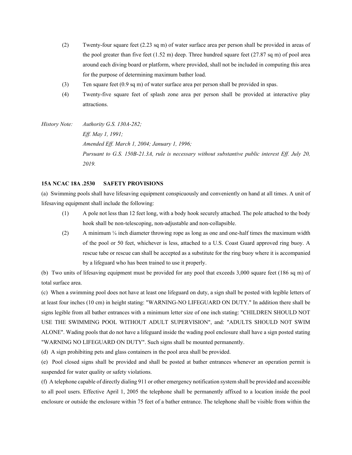- (2) Twenty-four square feet (2.23 sq m) of water surface area per person shall be provided in areas of the pool greater than five feet  $(1.52 \text{ m})$  deep. Three hundred square feet  $(27.87 \text{ sq m})$  of pool area around each diving board or platform, where provided, shall not be included in computing this area for the purpose of determining maximum bather load.
- (3) Ten square feet (0.9 sq m) of water surface area per person shall be provided in spas.
- (4) Twenty-five square feet of splash zone area per person shall be provided at interactive play attractions.
- *History Note: Authority G.S. 130A-282; Eff. May 1, 1991; Amended Eff. March 1, 2004; January 1, 1996; Pursuant to G.S. 150B-21.3A, rule is necessary without substantive public interest Eff. July 20, 2019.*

# **15A NCAC 18A .2530 SAFETY PROVISIONS**

(a) Swimming pools shall have lifesaving equipment conspicuously and conveniently on hand at all times. A unit of lifesaving equipment shall include the following:

- (1) A pole not less than 12 feet long, with a body hook securely attached. The pole attached to the body hook shall be non-telescoping, non-adjustable and non-collapsible.
- (2) A minimum  $\frac{1}{4}$  inch diameter throwing rope as long as one and one-half times the maximum width of the pool or 50 feet, whichever is less, attached to a U.S. Coast Guard approved ring buoy. A rescue tube or rescue can shall be accepted as a substitute for the ring buoy where it is accompanied by a lifeguard who has been trained to use it properly.

(b) Two units of lifesaving equipment must be provided for any pool that exceeds 3,000 square feet (186 sq m) of total surface area.

(c) When a swimming pool does not have at least one lifeguard on duty, a sign shall be posted with legible letters of at least four inches (10 cm) in height stating: "WARNING-NO LIFEGUARD ON DUTY." In addition there shall be signs legible from all bather entrances with a minimum letter size of one inch stating: "CHILDREN SHOULD NOT USE THE SWIMMING POOL WITHOUT ADULT SUPERVISION", and: "ADULTS SHOULD NOT SWIM ALONE". Wading pools that do not have a lifeguard inside the wading pool enclosure shall have a sign posted stating "WARNING NO LIFEGUARD ON DUTY". Such signs shall be mounted permanently.

(d) A sign prohibiting pets and glass containers in the pool area shall be provided.

(e) Pool closed signs shall be provided and shall be posted at bather entrances whenever an operation permit is suspended for water quality or safety violations.

(f) A telephone capable of directly dialing 911 or other emergency notification system shall be provided and accessible to all pool users. Effective April 1, 2005 the telephone shall be permanently affixed to a location inside the pool enclosure or outside the enclosure within 75 feet of a bather entrance. The telephone shall be visible from within the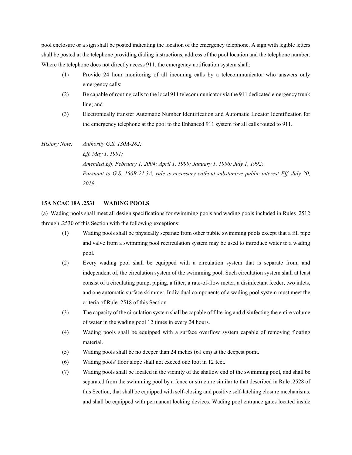pool enclosure or a sign shall be posted indicating the location of the emergency telephone. A sign with legible letters shall be posted at the telephone providing dialing instructions, address of the pool location and the telephone number. Where the telephone does not directly access 911, the emergency notification system shall:

- (1) Provide 24 hour monitoring of all incoming calls by a telecommunicator who answers only emergency calls;
- (2) Be capable of routing calls to the local 911 telecommunicator via the 911 dedicated emergency trunk line; and
- (3) Electronically transfer Automatic Number Identification and Automatic Locator Identification for the emergency telephone at the pool to the Enhanced 911 system for all calls routed to 911.

*History Note: Authority G.S. 130A-282; Eff. May 1, 1991; Amended Eff. February 1, 2004; April 1, 1999; January 1, 1996; July 1, 1992; Pursuant to G.S. 150B-21.3A, rule is necessary without substantive public interest Eff. July 20, 2019.*

## **15A NCAC 18A .2531 WADING POOLS**

(a) Wading pools shall meet all design specifications for swimming pools and wading pools included in Rules .2512 through .2530 of this Section with the following exceptions:

- (1) Wading pools shall be physically separate from other public swimming pools except that a fill pipe and valve from a swimming pool recirculation system may be used to introduce water to a wading pool.
- (2) Every wading pool shall be equipped with a circulation system that is separate from, and independent of, the circulation system of the swimming pool. Such circulation system shall at least consist of a circulating pump, piping, a filter, a rate-of-flow meter, a disinfectant feeder, two inlets, and one automatic surface skimmer. Individual components of a wading pool system must meet the criteria of Rule .2518 of this Section.
- (3) The capacity of the circulation system shall be capable of filtering and disinfecting the entire volume of water in the wading pool 12 times in every 24 hours.
- (4) Wading pools shall be equipped with a surface overflow system capable of removing floating material.
- (5) Wading pools shall be no deeper than 24 inches (61 cm) at the deepest point.
- (6) Wading pools' floor slope shall not exceed one foot in 12 feet.
- (7) Wading pools shall be located in the vicinity of the shallow end of the swimming pool, and shall be separated from the swimming pool by a fence or structure similar to that described in Rule .2528 of this Section, that shall be equipped with self-closing and positive self-latching closure mechanisms, and shall be equipped with permanent locking devices. Wading pool entrance gates located inside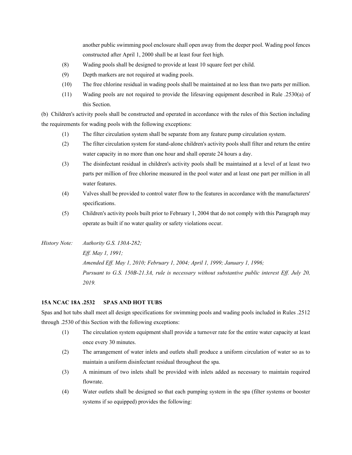another public swimming pool enclosure shall open away from the deeper pool. Wading pool fences constructed after April 1, 2000 shall be at least four feet high.

- (8) Wading pools shall be designed to provide at least 10 square feet per child.
- (9) Depth markers are not required at wading pools.
- (10) The free chlorine residual in wading pools shall be maintained at no less than two parts per million.
- (11) Wading pools are not required to provide the lifesaving equipment described in Rule .2530(a) of this Section.

(b) Children's activity pools shall be constructed and operated in accordance with the rules of this Section including the requirements for wading pools with the following exceptions:

- (1) The filter circulation system shall be separate from any feature pump circulation system.
- (2) The filter circulation system for stand-alone children's activity pools shall filter and return the entire water capacity in no more than one hour and shall operate 24 hours a day.
- (3) The disinfectant residual in children's activity pools shall be maintained at a level of at least two parts per million of free chlorine measured in the pool water and at least one part per million in all water features.
- (4) Valves shall be provided to control water flow to the features in accordance with the manufacturers' specifications.
- (5) Children's activity pools built prior to February 1, 2004 that do not comply with this Paragraph may operate as built if no water quality or safety violations occur.
- *History Note: Authority G.S. 130A-282; Eff. May 1, 1991; Amended Eff. May 1, 2010; February 1, 2004; April 1, 1999; January 1, 1996; Pursuant to G.S. 150B-21.3A, rule is necessary without substantive public interest Eff. July 20, 2019.*

# **15A NCAC 18A .2532 SPAS AND HOT TUBS**

Spas and hot tubs shall meet all design specifications for swimming pools and wading pools included in Rules .2512 through .2530 of this Section with the following exceptions:

- (1) The circulation system equipment shall provide a turnover rate for the entire water capacity at least once every 30 minutes.
- (2) The arrangement of water inlets and outlets shall produce a uniform circulation of water so as to maintain a uniform disinfectant residual throughout the spa.
- (3) A minimum of two inlets shall be provided with inlets added as necessary to maintain required flowrate.
- (4) Water outlets shall be designed so that each pumping system in the spa (filter systems or booster systems if so equipped) provides the following: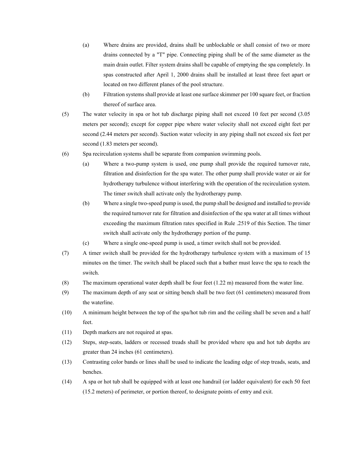- (a) Where drains are provided, drains shall be unblockable or shall consist of two or more drains connected by a "T" pipe. Connecting piping shall be of the same diameter as the main drain outlet. Filter system drains shall be capable of emptying the spa completely. In spas constructed after April 1, 2000 drains shall be installed at least three feet apart or located on two different planes of the pool structure.
- (b) Filtration systems shall provide at least one surface skimmer per 100 square feet, or fraction thereof of surface area.
- (5) The water velocity in spa or hot tub discharge piping shall not exceed 10 feet per second (3.05 meters per second); except for copper pipe where water velocity shall not exceed eight feet per second (2.44 meters per second). Suction water velocity in any piping shall not exceed six feet per second (1.83 meters per second).
- (6) Spa recirculation systems shall be separate from companion swimming pools.
	- (a) Where a two-pump system is used, one pump shall provide the required turnover rate, filtration and disinfection for the spa water. The other pump shall provide water or air for hydrotherapy turbulence without interfering with the operation of the recirculation system. The timer switch shall activate only the hydrotherapy pump.
	- (b) Where a single two-speed pump is used, the pump shall be designed and installed to provide the required turnover rate for filtration and disinfection of the spa water at all times without exceeding the maximum filtration rates specified in Rule .2519 of this Section. The timer switch shall activate only the hydrotherapy portion of the pump.
	- (c) Where a single one-speed pump is used, a timer switch shall not be provided.
- (7) A timer switch shall be provided for the hydrotherapy turbulence system with a maximum of 15 minutes on the timer. The switch shall be placed such that a bather must leave the spa to reach the switch.
- (8) The maximum operational water depth shall be four feet (1.22 m) measured from the water line.
- (9) The maximum depth of any seat or sitting bench shall be two feet (61 centimeters) measured from the waterline.
- (10) A minimum height between the top of the spa/hot tub rim and the ceiling shall be seven and a half feet.
- (11) Depth markers are not required at spas.
- (12) Steps, step-seats, ladders or recessed treads shall be provided where spa and hot tub depths are greater than 24 inches (61 centimeters).
- (13) Contrasting color bands or lines shall be used to indicate the leading edge of step treads, seats, and benches.
- (14) A spa or hot tub shall be equipped with at least one handrail (or ladder equivalent) for each 50 feet (15.2 meters) of perimeter, or portion thereof, to designate points of entry and exit.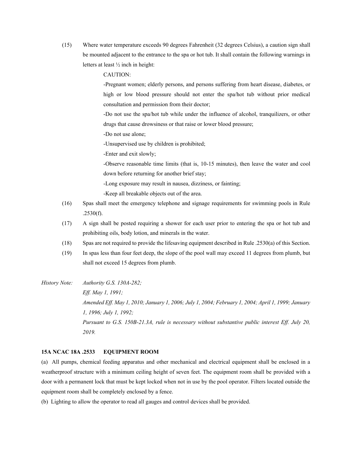(15) Where water temperature exceeds 90 degrees Fahrenheit (32 degrees Celsius), a caution sign shall be mounted adjacent to the entrance to the spa or hot tub. It shall contain the following warnings in letters at least ½ inch in height:

CAUTION:

-Pregnant women; elderly persons, and persons suffering from heart disease, diabetes, or high or low blood pressure should not enter the spa/hot tub without prior medical consultation and permission from their doctor;

-Do not use the spa/hot tub while under the influence of alcohol, tranquilizers, or other drugs that cause drowsiness or that raise or lower blood pressure;

-Do not use alone;

-Unsupervised use by children is prohibited;

-Enter and exit slowly;

-Observe reasonable time limits (that is, 10-15 minutes), then leave the water and cool down before returning for another brief stay;

-Long exposure may result in nausea, dizziness, or fainting;

-Keep all breakable objects out of the area.

- (16) Spas shall meet the emergency telephone and signage requirements for swimming pools in Rule .2530(f).
- (17) A sign shall be posted requiring a shower for each user prior to entering the spa or hot tub and prohibiting oils, body lotion, and minerals in the water.
- (18) Spas are not required to provide the lifesaving equipment described in Rule .2530(a) of this Section.
- (19) In spas less than four feet deep, the slope of the pool wall may exceed 11 degrees from plumb, but shall not exceed 15 degrees from plumb.

*History Note: Authority G.S. 130A-282;*

*Eff. May 1, 1991; Amended Eff. May 1, 2010; January 1, 2006; July 1, 2004; February 1, 2004; April 1, 1999; January 1, 1996; July 1, 1992; Pursuant to G.S. 150B-21.3A, rule is necessary without substantive public interest Eff. July 20, 2019.*

## **15A NCAC 18A .2533 EQUIPMENT ROOM**

(a) All pumps, chemical feeding apparatus and other mechanical and electrical equipment shall be enclosed in a weatherproof structure with a minimum ceiling height of seven feet. The equipment room shall be provided with a door with a permanent lock that must be kept locked when not in use by the pool operator. Filters located outside the equipment room shall be completely enclosed by a fence.

(b) Lighting to allow the operator to read all gauges and control devices shall be provided.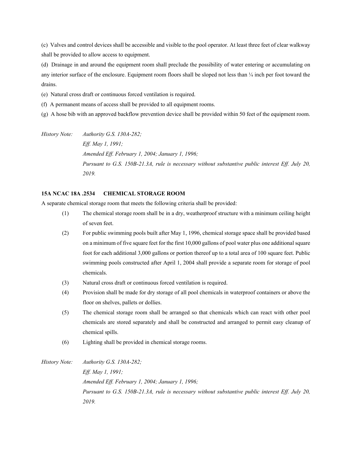(c) Valves and control devices shall be accessible and visible to the pool operator. At least three feet of clear walkway shall be provided to allow access to equipment.

(d) Drainage in and around the equipment room shall preclude the possibility of water entering or accumulating on any interior surface of the enclosure. Equipment room floors shall be sloped not less than  $\frac{1}{4}$  inch per foot toward the drains.

(e) Natural cross draft or continuous forced ventilation is required.

(f) A permanent means of access shall be provided to all equipment rooms.

(g) A hose bib with an approved backflow prevention device shall be provided within 50 feet of the equipment room.

*History Note: Authority G.S. 130A-282; Eff. May 1, 1991; Amended Eff. February 1, 2004; January 1, 1996; Pursuant to G.S. 150B-21.3A, rule is necessary without substantive public interest Eff. July 20, 2019.*

# **15A NCAC 18A .2534 CHEMICAL STORAGE ROOM**

A separate chemical storage room that meets the following criteria shall be provided:

- (1) The chemical storage room shall be in a dry, weatherproof structure with a minimum ceiling height of seven feet.
- (2) For public swimming pools built after May 1, 1996, chemical storage space shall be provided based on a minimum of five square feet for the first 10,000 gallons of pool water plus one additional square foot for each additional 3,000 gallons or portion thereof up to a total area of 100 square feet. Public swimming pools constructed after April 1, 2004 shall provide a separate room for storage of pool chemicals.
- (3) Natural cross draft or continuous forced ventilation is required.
- (4) Provision shall be made for dry storage of all pool chemicals in waterproof containers or above the floor on shelves, pallets or dollies.
- (5) The chemical storage room shall be arranged so that chemicals which can react with other pool chemicals are stored separately and shall be constructed and arranged to permit easy cleanup of chemical spills.
- (6) Lighting shall be provided in chemical storage rooms.

*History Note: Authority G.S. 130A-282; Eff. May 1, 1991; Amended Eff. February 1, 2004; January 1, 1996; Pursuant to G.S. 150B-21.3A, rule is necessary without substantive public interest Eff. July 20, 2019.*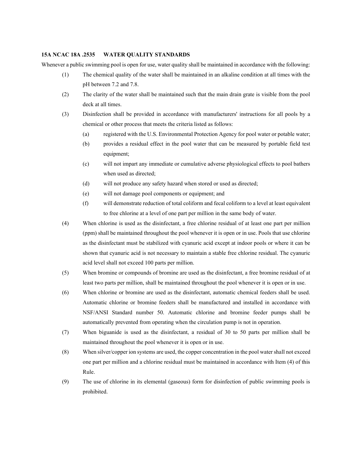#### **15A NCAC 18A .2535 WATER QUALITY STANDARDS**

Whenever a public swimming pool is open for use, water quality shall be maintained in accordance with the following:

- (1) The chemical quality of the water shall be maintained in an alkaline condition at all times with the pH between 7.2 and 7.8.
- (2) The clarity of the water shall be maintained such that the main drain grate is visible from the pool deck at all times.
- (3) Disinfection shall be provided in accordance with manufacturers' instructions for all pools by a chemical or other process that meets the criteria listed as follows:
	- (a) registered with the U.S. Environmental Protection Agency for pool water or potable water;
	- (b) provides a residual effect in the pool water that can be measured by portable field test equipment;
	- (c) will not impart any immediate or cumulative adverse physiological effects to pool bathers when used as directed;
	- (d) will not produce any safety hazard when stored or used as directed;
	- (e) will not damage pool components or equipment; and
	- (f) will demonstrate reduction of total coliform and fecal coliform to a level at least equivalent to free chlorine at a level of one part per million in the same body of water.
- (4) When chlorine is used as the disinfectant, a free chlorine residual of at least one part per million (ppm) shall be maintained throughout the pool whenever it is open or in use. Pools that use chlorine as the disinfectant must be stabilized with cyanuric acid except at indoor pools or where it can be shown that cyanuric acid is not necessary to maintain a stable free chlorine residual. The cyanuric acid level shall not exceed 100 parts per million.
- (5) When bromine or compounds of bromine are used as the disinfectant, a free bromine residual of at least two parts per million, shall be maintained throughout the pool whenever it is open or in use.
- (6) When chlorine or bromine are used as the disinfectant, automatic chemical feeders shall be used. Automatic chlorine or bromine feeders shall be manufactured and installed in accordance with NSF/ANSI Standard number 50. Automatic chlorine and bromine feeder pumps shall be automatically prevented from operating when the circulation pump is not in operation.
- (7) When biguanide is used as the disinfectant, a residual of 30 to 50 parts per million shall be maintained throughout the pool whenever it is open or in use.
- (8) When silver/copper ion systems are used, the copper concentration in the pool water shall not exceed one part per million and a chlorine residual must be maintained in accordance with Item (4) of this Rule.
- (9) The use of chlorine in its elemental (gaseous) form for disinfection of public swimming pools is prohibited.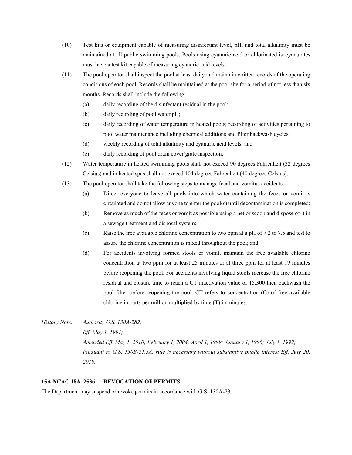- (10) Test kits or equipment capable of measuring disinfectant level, pH, and total alkalinity must be maintained at all public swimming pools. Pools using cyanuric acid or chlorinated isocyanurates must have a test kit capable of measuring cyanuric acid levels.
- (11) The pool operator shall inspect the pool at least daily and maintain written records of the operating conditions of each pool. Records shall be maintained at the pool site for a period of not less than six months. Records shall include the following:
	- (a) daily recording of the disinfectant residual in the pool;
	- (b) daily recording of pool water pH;
	- (c) daily recording of water temperature in heated pools; recording of activities pertaining to pool water maintenance including chemical additions and filter backwash cycles;
	- (d) weekly recording of total alkalinity and cyanuric acid levels; and
	- (e) daily recording of pool drain cover/grate inspection.
- (12) Water temperature in heated swimming pools shall not exceed 90 degrees Fahrenheit (32 degrees Celsius) and in heated spas shall not exceed 104 degrees Fahrenheit (40 degrees Celsius).
- (13) The pool operator shall take the following steps to manage fecal and vomitus accidents:
	- (a) Direct everyone to leave all pools into which water containing the feces or vomit is circulated and do not allow anyone to enter the  $pool(s)$  until decontamination is completed;
	- (b) Remove as much of the feces or vomit as possible using a net or scoop and dispose of it in a sewage treatment and disposal system;
	- (c) Raise the free available chlorine concentration to two ppm at a pH of 7.2 to 7.5 and test to assure the chlorine concentration is mixed throughout the pool; and
	- (d) For accidents involving formed stools or vomit, maintain the free available chlorine concentration at two ppm for at least 25 minutes or at three ppm for at least 19 minutes before reopening the pool. For accidents involving liquid stools increase the free chlorine residual and closure time to reach a CT inactivation value of 15,300 then backwash the pool filter before reopening the pool. CT refers to concentration (C) of free available chlorine in parts per million multiplied by time (T) in minutes.
- *History Note: Authority G.S. 130A-282; Eff. May 1, 1991; Amended Eff. May 1, 2010; February 1, 2004; April 1, 1999; January 1, 1996; July 1, 1992; Pursuant to G.S. 150B-21.3A, rule is necessary without substantive public interest Eff. July 20, 2019.*

## **15A NCAC 18A .2536 REVOCATION OF PERMITS**

The Department may suspend or revoke permits in accordance with G.S. 130A-23.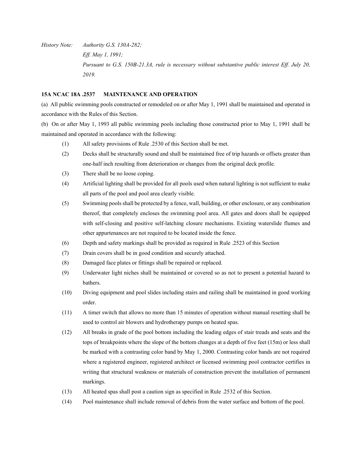*History Note: Authority G.S. 130A-282; Eff. May 1, 1991; Pursuant to G.S. 150B-21.3A, rule is necessary without substantive public interest Eff. July 20, 2019.*

# **15A NCAC 18A .2537 MAINTENANCE AND OPERATION**

(a) All public swimming pools constructed or remodeled on or after May 1, 1991 shall be maintained and operated in accordance with the Rules of this Section.

(b) On or after May 1, 1993 all public swimming pools including those constructed prior to May 1, 1991 shall be maintained and operated in accordance with the following:

- (1) All safety provisions of Rule .2530 of this Section shall be met.
- (2) Decks shall be structurally sound and shall be maintained free of trip hazards or offsets greater than one-half inch resulting from deterioration or changes from the original deck profile.
- (3) There shall be no loose coping.
- (4) Artificial lighting shall be provided for all pools used when natural lighting is not sufficient to make all parts of the pool and pool area clearly visible.
- (5) Swimming pools shall be protected by a fence, wall, building, or other enclosure, or any combination thereof, that completely encloses the swimming pool area. All gates and doors shall be equipped with self-closing and positive self-latching closure mechanisms. Existing waterslide flumes and other appurtenances are not required to be located inside the fence.
- (6) Depth and safety markings shall be provided as required in Rule .2523 of this Section
- (7) Drain covers shall be in good condition and securely attached.
- (8) Damaged face plates or fittings shall be repaired or replaced.
- (9) Underwater light niches shall be maintained or covered so as not to present a potential hazard to bathers.
- (10) Diving equipment and pool slides including stairs and railing shall be maintained in good working order.
- (11) A timer switch that allows no more than 15 minutes of operation without manual resetting shall be used to control air blowers and hydrotherapy pumps on heated spas.
- (12) All breaks in grade of the pool bottom including the leading edges of stair treads and seats and the tops of breakpoints where the slope of the bottom changes at a depth of five feet (15m) or less shall be marked with a contrasting color band by May 1, 2000. Contrasting color bands are not required where a registered engineer, registered architect or licensed swimming pool contractor certifies in writing that structural weakness or materials of construction prevent the installation of permanent markings.
- (13) All heated spas shall post a caution sign as specified in Rule .2532 of this Section.
- (14) Pool maintenance shall include removal of debris from the water surface and bottom of the pool.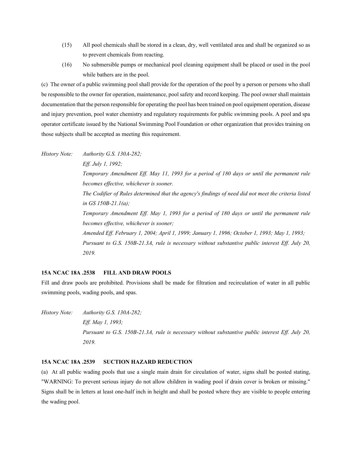- (15) All pool chemicals shall be stored in a clean, dry, well ventilated area and shall be organized so as to prevent chemicals from reacting.
- (16) No submersible pumps or mechanical pool cleaning equipment shall be placed or used in the pool while bathers are in the pool.

(c) The owner of a public swimming pool shall provide for the operation of the pool by a person or persons who shall be responsible to the owner for operation, maintenance, pool safety and record keeping. The pool owner shall maintain documentation that the person responsible for operating the pool has been trained on pool equipment operation, disease and injury prevention, pool water chemistry and regulatory requirements for public swimming pools. A pool and spa operator certificate issued by the National Swimming Pool Foundation or other organization that provides training on those subjects shall be accepted as meeting this requirement.

*History Note: Authority G.S. 130A-282; Eff. July 1, 1992; Temporary Amendment Eff. May 11, 1993 for a period of 180 days or until the permanent rule becomes effective, whichever is sooner. The Codifier of Rules determined that the agency's findings of need did not meet the criteria listed in GS 150B-21.1(a); Temporary Amendment Eff. May 1, 1993 for a period of 180 days or until the permanent rule becomes effective, whichever is sooner; Amended Eff. February 1, 2004; April 1, 1999; January 1, 1996; October 1, 1993; May 1, 1993; Pursuant to G.S. 150B-21.3A, rule is necessary without substantive public interest Eff. July 20, 2019.*

## **15A NCAC 18A .2538 FILL AND DRAW POOLS**

Fill and draw pools are prohibited. Provisions shall be made for filtration and recirculation of water in all public swimming pools, wading pools, and spas.

*History Note: Authority G.S. 130A-282; Eff. May 1, 1993; Pursuant to G.S. 150B-21.3A, rule is necessary without substantive public interest Eff. July 20, 2019.*

# **15A NCAC 18A .2539 SUCTION HAZARD REDUCTION**

(a) At all public wading pools that use a single main drain for circulation of water, signs shall be posted stating, "WARNING: To prevent serious injury do not allow children in wading pool if drain cover is broken or missing." Signs shall be in letters at least one-half inch in height and shall be posted where they are visible to people entering the wading pool.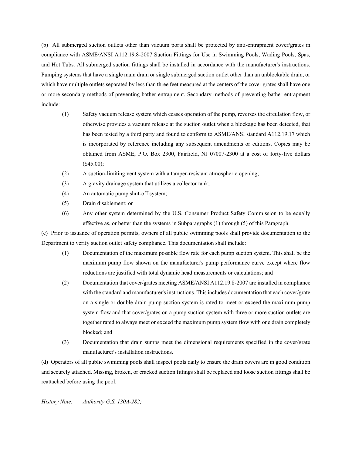(b) All submerged suction outlets other than vacuum ports shall be protected by anti-entrapment cover/grates in compliance with ASME/ANSI A112.19.8-2007 Suction Fittings for Use in Swimming Pools, Wading Pools, Spas, and Hot Tubs. All submerged suction fittings shall be installed in accordance with the manufacturer's instructions. Pumping systems that have a single main drain or single submerged suction outlet other than an unblockable drain, or which have multiple outlets separated by less than three feet measured at the centers of the cover grates shall have one or more secondary methods of preventing bather entrapment. Secondary methods of preventing bather entrapment include:

- (1) Safety vacuum release system which ceases operation of the pump, reverses the circulation flow, or otherwise provides a vacuum release at the suction outlet when a blockage has been detected, that has been tested by a third party and found to conform to ASME/ANSI standard A112.19.17 which is incorporated by reference including any subsequent amendments or editions. Copies may be obtained from ASME, P.O. Box 2300, Fairfield, NJ 07007-2300 at a cost of forty-five dollars (\$45.00);
- (2) A suction-limiting vent system with a tamper-resistant atmospheric opening;
- (3) A gravity drainage system that utilizes a collector tank;
- (4) An automatic pump shut-off system;
- (5) Drain disablement; or
- (6) Any other system determined by the U.S. Consumer Product Safety Commission to be equally effective as, or better than the systems in Subparagraphs (1) through (5) of this Paragraph.

(c) Prior to issuance of operation permits, owners of all public swimming pools shall provide documentation to the Department to verify suction outlet safety compliance. This documentation shall include:

- (1) Documentation of the maximum possible flow rate for each pump suction system. This shall be the maximum pump flow shown on the manufacturer's pump performance curve except where flow reductions are justified with total dynamic head measurements or calculations; and
- (2) Documentation that cover/grates meeting ASME/ANSI A112.19.8-2007 are installed in compliance with the standard and manufacturer's instructions. This includes documentation that each cover/grate on a single or double-drain pump suction system is rated to meet or exceed the maximum pump system flow and that cover/grates on a pump suction system with three or more suction outlets are together rated to always meet or exceed the maximum pump system flow with one drain completely blocked; and
- (3) Documentation that drain sumps meet the dimensional requirements specified in the cover/grate manufacturer's installation instructions.

(d) Operators of all public swimming pools shall inspect pools daily to ensure the drain covers are in good condition and securely attached. Missing, broken, or cracked suction fittings shall be replaced and loose suction fittings shall be reattached before using the pool.

*History Note: Authority G.S. 130A-282;*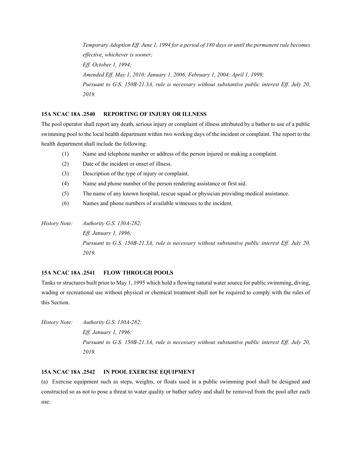*Temporary Adoption Eff. June 1, 1994 for a period of 180 days or until the permanent rule becomes effective, whichever is sooner; Eff. October 1, 1994; Amended Eff. May 1, 2010; January 1, 2006; February 1, 2004; April 1, 1999; Pursuant to G.S. 150B-21.3A, rule is necessary without substantive public interest Eff. July 20, 2019.*

# **15A NCAC 18A .2540 REPORTING OF INJURY OR ILLNESS**

The pool operator shall report any death, serious injury or complaint of illness attributed by a bather to use of a public swimming pool to the local health department within two working days of the incident or complaint. The report to the health department shall include the following:

- (1) Name and telephone number or address of the person injured or making a complaint.
- (2) Date of the incident or onset of illness.
- (3) Description of the type of injury or complaint.
- (4) Name and phone number of the person rendering assistance or first aid.
- (5) The name of any known hospital, rescue squad or physician providing medical assistance.
- (6) Names and phone numbers of available witnesses to the incident.

*History Note: Authority G.S. 130A-282; Eff. January 1, 1996; Pursuant to G.S. 150B-21.3A, rule is necessary without substantive public interest Eff. July 20, 2019.*

# **15A NCAC 18A .2541 FLOW THROUGH POOLS**

Tanks or structures built prior to May 1, 1995 which hold a flowing natural water source for public swimming, diving, wading or recreational use without physical or chemical treatment shall not be required to comply with the rules of this Section.

*History Note: Authority G.S. 130A-282; Eff. January 1, 1996; Pursuant to G.S. 150B-21.3A, rule is necessary without substantive public interest Eff. July 20, 2019.*

## **15A NCAC 18A .2542 IN POOL EXERCISE EQUIPMENT**

(a) Exercise equipment such as steps, weights, or floats used in a public swimming pool shall be designed and constructed so as not to pose a threat to water quality or bather safety and shall be removed from the pool after each use.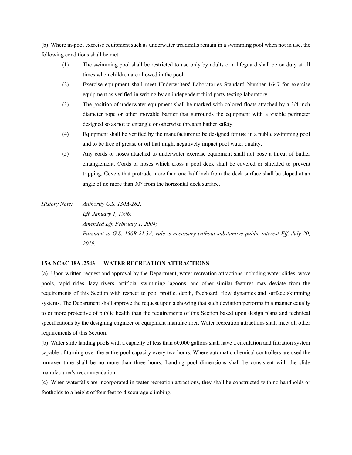(b) Where in-pool exercise equipment such as underwater treadmills remain in a swimming pool when not in use, the following conditions shall be met:

- (1) The swimming pool shall be restricted to use only by adults or a lifeguard shall be on duty at all times when children are allowed in the pool.
- (2) Exercise equipment shall meet Underwriters' Laboratories Standard Number 1647 for exercise equipment as verified in writing by an independent third party testing laboratory.
- (3) The position of underwater equipment shall be marked with colored floats attached by a 3/4 inch diameter rope or other movable barrier that surrounds the equipment with a visible perimeter designed so as not to entangle or otherwise threaten bather safety.
- (4) Equipment shall be verified by the manufacturer to be designed for use in a public swimming pool and to be free of grease or oil that might negatively impact pool water quality.
- (5) Any cords or hoses attached to underwater exercise equipment shall not pose a threat of bather entanglement. Cords or hoses which cross a pool deck shall be covered or shielded to prevent tripping. Covers that protrude more than one-half inch from the deck surface shall be sloped at an angle of no more than  $30^{\circ}$  from the horizontal deck surface.
- *History Note: Authority G.S. 130A-282; Eff. January 1, 1996; Amended Eff. February 1, 2004; Pursuant to G.S. 150B-21.3A, rule is necessary without substantive public interest Eff. July 20, 2019.*

## **15A NCAC 18A .2543 WATER RECREATION ATTRACTIONS**

(a) Upon written request and approval by the Department, water recreation attractions including water slides, wave pools, rapid rides, lazy rivers, artificial swimming lagoons, and other similar features may deviate from the requirements of this Section with respect to pool profile, depth, freeboard, flow dynamics and surface skimming systems. The Department shall approve the request upon a showing that such deviation performs in a manner equally to or more protective of public health than the requirements of this Section based upon design plans and technical specifications by the designing engineer or equipment manufacturer. Water recreation attractions shall meet all other requirements of this Section.

(b) Water slide landing pools with a capacity of less than 60,000 gallons shall have a circulation and filtration system capable of turning over the entire pool capacity every two hours. Where automatic chemical controllers are used the turnover time shall be no more than three hours. Landing pool dimensions shall be consistent with the slide manufacturer's recommendation.

(c) When waterfalls are incorporated in water recreation attractions, they shall be constructed with no handholds or footholds to a height of four feet to discourage climbing.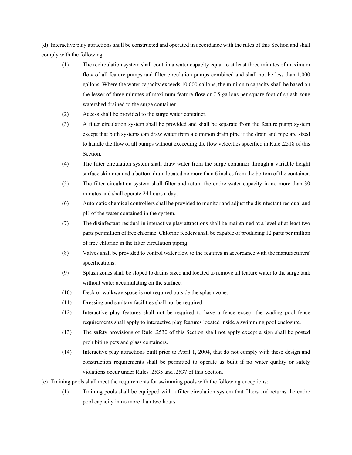(d) Interactive play attractions shall be constructed and operated in accordance with the rules of this Section and shall comply with the following:

- (1) The recirculation system shall contain a water capacity equal to at least three minutes of maximum flow of all feature pumps and filter circulation pumps combined and shall not be less than 1,000 gallons. Where the water capacity exceeds 10,000 gallons, the minimum capacity shall be based on the lesser of three minutes of maximum feature flow or 7.5 gallons per square foot of splash zone watershed drained to the surge container.
- (2) Access shall be provided to the surge water container.
- (3) A filter circulation system shall be provided and shall be separate from the feature pump system except that both systems can draw water from a common drain pipe if the drain and pipe are sized to handle the flow of all pumps without exceeding the flow velocities specified in Rule .2518 of this Section.
- (4) The filter circulation system shall draw water from the surge container through a variable height surface skimmer and a bottom drain located no more than 6 inches from the bottom of the container.
- (5) The filter circulation system shall filter and return the entire water capacity in no more than 30 minutes and shall operate 24 hours a day.
- (6) Automatic chemical controllers shall be provided to monitor and adjust the disinfectant residual and pH of the water contained in the system.
- (7) The disinfectant residual in interactive play attractions shall be maintained at a level of at least two parts per million of free chlorine. Chlorine feeders shall be capable of producing 12 parts per million of free chlorine in the filter circulation piping.
- (8) Valves shall be provided to control water flow to the features in accordance with the manufacturers' specifications.
- (9) Splash zones shall be sloped to drains sized and located to remove all feature water to the surge tank without water accumulating on the surface.
- (10) Deck or walkway space is not required outside the splash zone.
- (11) Dressing and sanitary facilities shall not be required.
- (12) Interactive play features shall not be required to have a fence except the wading pool fence requirements shall apply to interactive play features located inside a swimming pool enclosure.
- (13) The safety provisions of Rule .2530 of this Section shall not apply except a sign shall be posted prohibiting pets and glass containers.
- (14) Interactive play attractions built prior to April 1, 2004, that do not comply with these design and construction requirements shall be permitted to operate as built if no water quality or safety violations occur under Rules .2535 and .2537 of this Section.
- (e) Training pools shall meet the requirements for swimming pools with the following exceptions:
	- (1) Training pools shall be equipped with a filter circulation system that filters and returns the entire pool capacity in no more than two hours.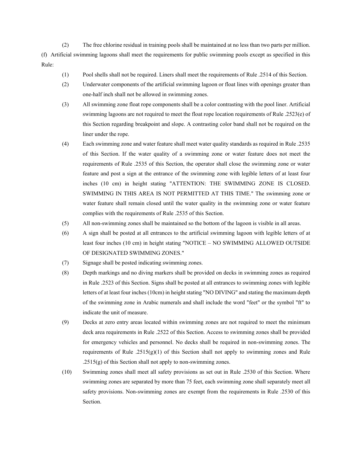(2) The free chlorine residual in training pools shall be maintained at no less than two parts per million. (f) Artificial swimming lagoons shall meet the requirements for public swimming pools except as specified in this Rule:

- (1) Pool shells shall not be required. Liners shall meet the requirements of Rule .2514 of this Section.
- (2) Underwater components of the artificial swimming lagoon or float lines with openings greater than one-half inch shall not be allowed in swimming zones.
- (3) All swimming zone float rope components shall be a color contrasting with the pool liner. Artificial swimming lagoons are not required to meet the float rope location requirements of Rule .2523(e) of this Section regarding breakpoint and slope. A contrasting color band shall not be required on the liner under the rope.
- (4) Each swimming zone and water feature shall meet water quality standards as required in Rule .2535 of this Section. If the water quality of a swimming zone or water feature does not meet the requirements of Rule .2535 of this Section, the operator shall close the swimming zone or water feature and post a sign at the entrance of the swimming zone with legible letters of at least four inches (10 cm) in height stating "ATTENTION: THE SWIMMING ZONE IS CLOSED. SWIMMING IN THIS AREA IS NOT PERMITTED AT THIS TIME." The swimming zone or water feature shall remain closed until the water quality in the swimming zone or water feature complies with the requirements of Rule .2535 of this Section.
- (5) All non-swimming zones shall be maintained so the bottom of the lagoon is visible in all areas.
- (6) A sign shall be posted at all entrances to the artificial swimming lagoon with legible letters of at least four inches (10 cm) in height stating "NOTICE – NO SWIMMING ALLOWED OUTSIDE OF DESIGNATED SWIMMING ZONES."
- (7) Signage shall be posted indicating swimming zones.
- (8) Depth markings and no diving markers shall be provided on decks in swimming zones as required in Rule .2523 of this Section. Signs shall be posted at all entrances to swimming zones with legible letters of at least four inches (10cm) in height stating "NO DIVING" and stating the maximum depth of the swimming zone in Arabic numerals and shall include the word "feet" or the symbol "ft" to indicate the unit of measure.
- (9) Decks at zero entry areas located within swimming zones are not required to meet the minimum deck area requirements in Rule .2522 of this Section. Access to swimming zones shall be provided for emergency vehicles and personnel. No decks shall be required in non-swimming zones. The requirements of Rule .2515(g)(1) of this Section shall not apply to swimming zones and Rule  $.2515(g)$  of this Section shall not apply to non-swimming zones.
- (10) Swimming zones shall meet all safety provisions as set out in Rule .2530 of this Section. Where swimming zones are separated by more than 75 feet, each swimming zone shall separately meet all safety provisions. Non-swimming zones are exempt from the requirements in Rule .2530 of this Section.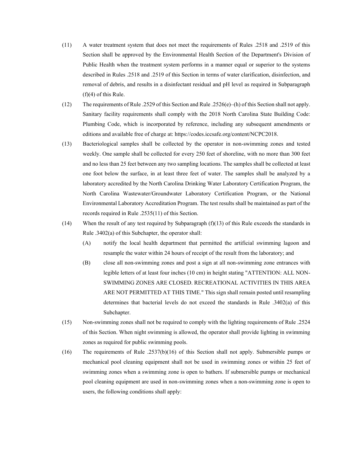- (11) A water treatment system that does not meet the requirements of Rules .2518 and .2519 of this Section shall be approved by the Environmental Health Section of the Department's Division of Public Health when the treatment system performs in a manner equal or superior to the systems described in Rules .2518 and .2519 of this Section in terms of water clarification, disinfection, and removal of debris, and results in a disinfectant residual and pH level as required in Subparagraph (f)(4) of this Rule.
- (12) The requirements of Rule .2529 of this Section and Rule .2526(e)–(h) of this Section shall not apply. Sanitary facility requirements shall comply with the 2018 North Carolina State Building Code: Plumbing Code, which is incorporated by reference, including any subsequent amendments or editions and available free of charge at: https://codes.iccsafe.org/content/NCPC2018.
- (13) Bacteriological samples shall be collected by the operator in non-swimming zones and tested weekly. One sample shall be collected for every 250 feet of shoreline, with no more than 300 feet and no less than 25 feet between any two sampling locations. The samples shall be collected at least one foot below the surface, in at least three feet of water. The samples shall be analyzed by a laboratory accredited by the North Carolina Drinking Water Laboratory Certification Program, the North Carolina Wastewater/Groundwater Laboratory Certification Program, or the National Environmental Laboratory Accreditation Program. The test results shall be maintained as part of the records required in Rule .2535(11) of this Section.
- (14) When the result of any test required by Subparagraph (f)(13) of this Rule exceeds the standards in Rule .3402(a) of this Subchapter, the operator shall:
	- (A) notify the local health department that permitted the artificial swimming lagoon and resample the water within 24 hours of receipt of the result from the laboratory; and
	- (B) close all non-swimming zones and post a sign at all non-swimming zone entrances with legible letters of at least four inches (10 cm) in height stating "ATTENTION: ALL NON-SWIMMING ZONES ARE CLOSED. RECREATIONAL ACTIVITIES IN THIS AREA ARE NOT PERMITTED AT THIS TIME." This sign shall remain posted until resampling determines that bacterial levels do not exceed the standards in Rule .3402(a) of this Subchapter.
- (15) Non-swimming zones shall not be required to comply with the lighting requirements of Rule .2524 of this Section. When night swimming is allowed, the operator shall provide lighting in swimming zones as required for public swimming pools.
- (16) The requirements of Rule .2537(b)(16) of this Section shall not apply. Submersible pumps or mechanical pool cleaning equipment shall not be used in swimming zones or within 25 feet of swimming zones when a swimming zone is open to bathers. If submersible pumps or mechanical pool cleaning equipment are used in non-swimming zones when a non-swimming zone is open to users, the following conditions shall apply: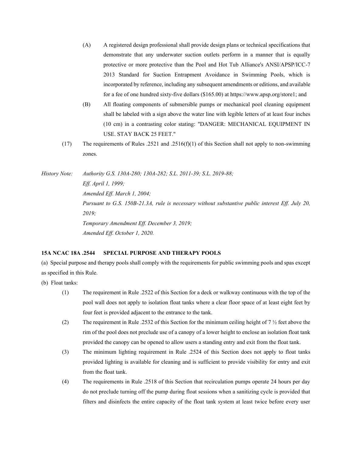- (A) A registered design professional shall provide design plans or technical specifications that demonstrate that any underwater suction outlets perform in a manner that is equally protective or more protective than the Pool and Hot Tub Alliance's ANSI/APSP/ICC-7 2013 Standard for Suction Entrapment Avoidance in Swimming Pools, which is incorporated by reference, including any subsequent amendments or editions, and available for a fee of one hundred sixty-five dollars (\$165.00) at https://www.apsp.org/store1; and
- (B) All floating components of submersible pumps or mechanical pool cleaning equipment shall be labeled with a sign above the water line with legible letters of at least four inches (10 cm) in a contrasting color stating: "DANGER: MECHANICAL EQUIPMENT IN USE. STAY BACK 25 FEET."
- (17) The requirements of Rules .2521 and .2516(f)(1) of this Section shall not apply to non-swimming zones.

*History Note: Authority G.S. 130A-280; 130A-282; S.L. 2011-39; S.L. 2019-88; Eff. April 1, 1999; Amended Eff. March 1, 2004; Pursuant to G.S. 150B-21.3A, rule is necessary without substantive public interest Eff. July 20, 2019; Temporary Amendment Eff. December 3, 2019; Amended Eff. October 1, 2020.*

# **15A NCAC 18A .2544 SPECIAL PURPOSE AND THERAPY POOLS**

(a) Special purpose and therapy pools shall comply with the requirements for public swimming pools and spas except as specified in this Rule.

- (b) Float tanks:
	- (1) The requirement in Rule .2522 of this Section for a deck or walkway continuous with the top of the pool wall does not apply to isolation float tanks where a clear floor space of at least eight feet by four feet is provided adjacent to the entrance to the tank.
	- (2) The requirement in Rule .2532 of this Section for the minimum ceiling height of  $7\frac{1}{2}$  feet above the rim of the pool does not preclude use of a canopy of a lower height to enclose an isolation float tank provided the canopy can be opened to allow users a standing entry and exit from the float tank.
	- (3) The minimum lighting requirement in Rule .2524 of this Section does not apply to float tanks provided lighting is available for cleaning and is sufficient to provide visibility for entry and exit from the float tank.
	- (4) The requirements in Rule .2518 of this Section that recirculation pumps operate 24 hours per day do not preclude turning off the pump during float sessions when a sanitizing cycle is provided that filters and disinfects the entire capacity of the float tank system at least twice before every user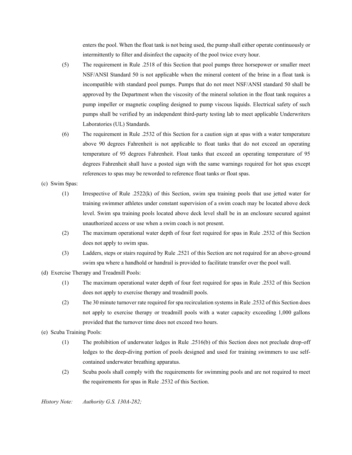enters the pool. When the float tank is not being used, the pump shall either operate continuously or intermittently to filter and disinfect the capacity of the pool twice every hour.

- (5) The requirement in Rule .2518 of this Section that pool pumps three horsepower or smaller meet NSF/ANSI Standard 50 is not applicable when the mineral content of the brine in a float tank is incompatible with standard pool pumps. Pumps that do not meet NSF/ANSI standard 50 shall be approved by the Department when the viscosity of the mineral solution in the float tank requires a pump impeller or magnetic coupling designed to pump viscous liquids. Electrical safety of such pumps shall be verified by an independent third-party testing lab to meet applicable Underwriters Laboratories (UL) Standards.
- (6) The requirement in Rule .2532 of this Section for a caution sign at spas with a water temperature above 90 degrees Fahrenheit is not applicable to float tanks that do not exceed an operating temperature of 95 degrees Fahrenheit. Float tanks that exceed an operating temperature of 95 degrees Fahrenheit shall have a posted sign with the same warnings required for hot spas except references to spas may be reworded to reference float tanks or float spas.
- (c) Swim Spas:
	- (1) Irrespective of Rule .2522(k) of this Section, swim spa training pools that use jetted water for training swimmer athletes under constant supervision of a swim coach may be located above deck level. Swim spa training pools located above deck level shall be in an enclosure secured against unauthorized access or use when a swim coach is not present.
	- (2) The maximum operational water depth of four feet required for spas in Rule .2532 of this Section does not apply to swim spas.
	- (3) Ladders, steps or stairs required by Rule .2521 of this Section are not required for an above-ground swim spa where a handhold or handrail is provided to facilitate transfer over the pool wall.
- (d) Exercise Therapy and Treadmill Pools:
	- (1) The maximum operational water depth of four feet required for spas in Rule .2532 of this Section does not apply to exercise therapy and treadmill pools.
	- (2) The 30 minute turnover rate required for spa recirculation systems in Rule .2532 of this Section does not apply to exercise therapy or treadmill pools with a water capacity exceeding 1,000 gallons provided that the turnover time does not exceed two hours.
- (e) Scuba Training Pools:
	- (1) The prohibition of underwater ledges in Rule .2516(b) of this Section does not preclude drop-off ledges to the deep-diving portion of pools designed and used for training swimmers to use selfcontained underwater breathing apparatus.
	- (2) Scuba pools shall comply with the requirements for swimming pools and are not required to meet the requirements for spas in Rule .2532 of this Section.

*History Note: Authority G.S. 130A-282;*